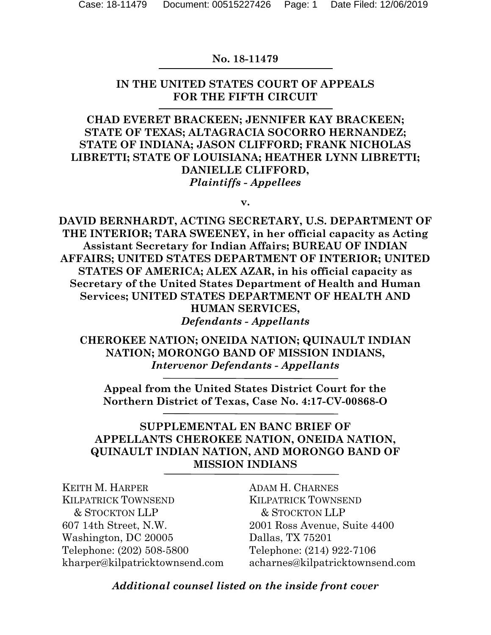#### **No. 18-11479**

#### **IN THE UNITED STATES COURT OF APPEALS FOR THE FIFTH CIRCUIT**

**CHAD EVERET BRACKEEN; JENNIFER KAY BRACKEEN; STATE OF TEXAS; ALTAGRACIA SOCORRO HERNANDEZ; STATE OF INDIANA; JASON CLIFFORD; FRANK NICHOLAS LIBRETTI; STATE OF LOUISIANA; HEATHER LYNN LIBRETTI; DANIELLE CLIFFORD,** *Plaintiffs - Appellees*

**v.**

**DAVID BERNHARDT, ACTING SECRETARY, U.S. DEPARTMENT OF THE INTERIOR; TARA SWEENEY, in her official capacity as Acting Assistant Secretary for Indian Affairs; BUREAU OF INDIAN AFFAIRS; UNITED STATES DEPARTMENT OF INTERIOR; UNITED STATES OF AMERICA; ALEX AZAR, in his official capacity as Secretary of the United States Department of Health and Human Services; UNITED STATES DEPARTMENT OF HEALTH AND HUMAN SERVICES,** *Defendants - Appellants*

**CHEROKEE NATION; ONEIDA NATION; QUINAULT INDIAN NATION; MORONGO BAND OF MISSION INDIANS,** *Intervenor Defendants - Appellants*

**Appeal from the United States District Court for the Northern District of Texas, Case No. 4:17-CV-00868-O**

#### **SUPPLEMENTAL EN BANC BRIEF OF APPELLANTS CHEROKEE NATION, ONEIDA NATION, QUINAULT INDIAN NATION, AND MORONGO BAND OF MISSION INDIANS**

KEITH M. HARPER KILPATRICK TOWNSEND & STOCKTON LLP 607 14th Street, N.W. Washington, DC 20005 Telephone: (202) 508-5800 kharper@kilpatricktownsend.com ADAM H. CHARNES KILPATRICK TOWNSEND & STOCKTON LLP 2001 Ross Avenue, Suite 4400 Dallas, TX 75201 Telephone: (214) 922-7106 acharnes@kilpatricktownsend.com

*Additional counsel listed on the inside front cover*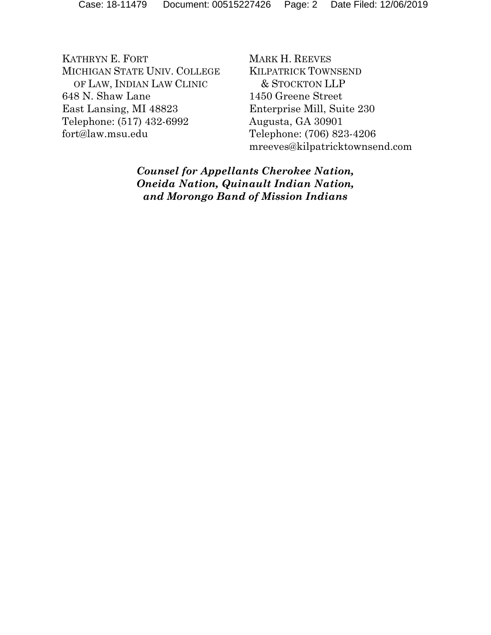KATHRYN E. FORT MICHIGAN STATE UNIV. COLLEGE OF LAW, INDIAN LAW CLINIC 648 N. Shaw Lane East Lansing, MI 48823 Telephone: (517) 432-6992 fort@law.msu.edu

MARK H. REEVES KILPATRICK TOWNSEND & STOCKTON LLP 1450 Greene Street Enterprise Mill, Suite 230 Augusta, GA 30901 Telephone: (706) 823-4206 mreeves@kilpatricktownsend.com

*Counsel for Appellants Cherokee Nation, Oneida Nation, Quinault Indian Nation, and Morongo Band of Mission Indians*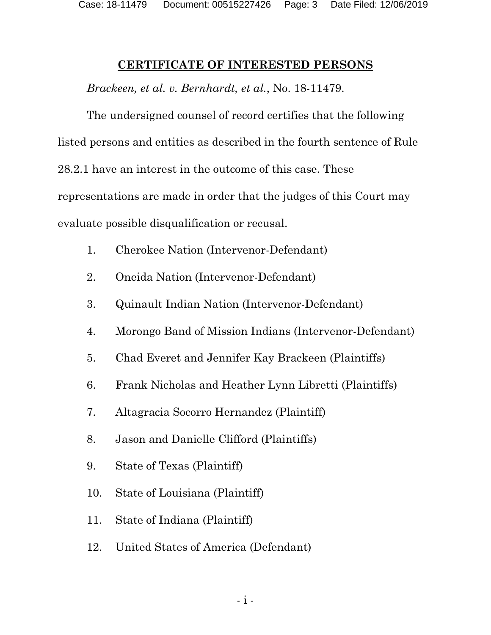#### <span id="page-2-0"></span>**CERTIFICATE OF INTERESTED PERSONS**

*Brackeen, et al. v. Bernhardt, et al.*, No. 18-11479.

The undersigned counsel of record certifies that the following listed persons and entities as described in the fourth sentence of Rule 28.2.1 have an interest in the outcome of this case. These representations are made in order that the judges of this Court may evaluate possible disqualification or recusal.

- 1. Cherokee Nation (Intervenor-Defendant)
- 2. Oneida Nation (Intervenor-Defendant)
- 3. Quinault Indian Nation (Intervenor-Defendant)
- 4. Morongo Band of Mission Indians (Intervenor-Defendant)
- 5. Chad Everet and Jennifer Kay Brackeen (Plaintiffs)
- 6. Frank Nicholas and Heather Lynn Libretti (Plaintiffs)
- 7. Altagracia Socorro Hernandez (Plaintiff)
- 8. Jason and Danielle Clifford (Plaintiffs)
- 9. State of Texas (Plaintiff)
- 10. State of Louisiana (Plaintiff)
- 11. State of Indiana (Plaintiff)
- 12. United States of America (Defendant)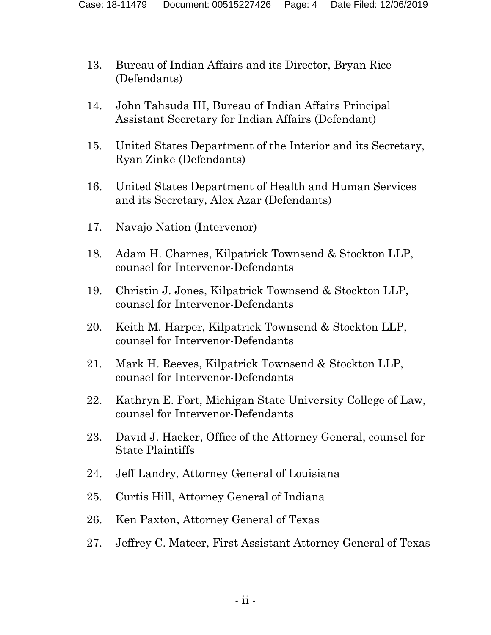- 13. Bureau of Indian Affairs and its Director, Bryan Rice (Defendants)
- 14. John Tahsuda III, Bureau of Indian Affairs Principal Assistant Secretary for Indian Affairs (Defendant)
- 15. United States Department of the Interior and its Secretary, Ryan Zinke (Defendants)
- 16. United States Department of Health and Human Services and its Secretary, Alex Azar (Defendants)
- 17. Navajo Nation (Intervenor)
- 18. Adam H. Charnes, Kilpatrick Townsend & Stockton LLP, counsel for Intervenor-Defendants
- 19. Christin J. Jones, Kilpatrick Townsend & Stockton LLP, counsel for Intervenor-Defendants
- 20. Keith M. Harper, Kilpatrick Townsend & Stockton LLP, counsel for Intervenor-Defendants
- 21. Mark H. Reeves, Kilpatrick Townsend & Stockton LLP, counsel for Intervenor-Defendants
- 22. Kathryn E. Fort, Michigan State University College of Law, counsel for Intervenor-Defendants
- 23. David J. Hacker, Office of the Attorney General, counsel for State Plaintiffs
- 24. Jeff Landry, Attorney General of Louisiana
- 25. Curtis Hill, Attorney General of Indiana
- 26. Ken Paxton, Attorney General of Texas
- 27. Jeffrey C. Mateer, First Assistant Attorney General of Texas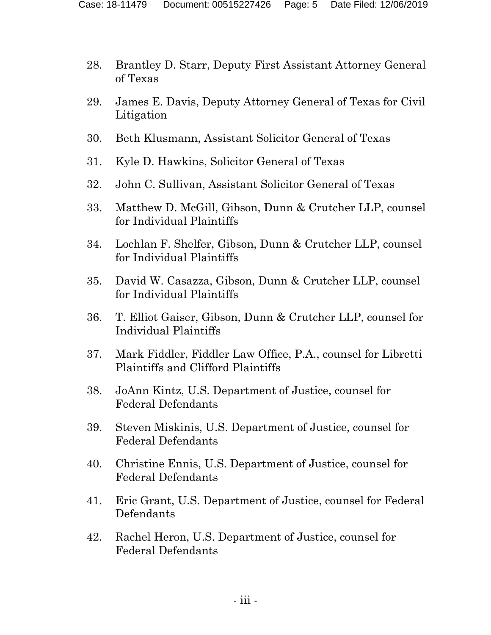- 28. Brantley D. Starr, Deputy First Assistant Attorney General of Texas
- 29. James E. Davis, Deputy Attorney General of Texas for Civil Litigation
- 30. Beth Klusmann, Assistant Solicitor General of Texas
- 31. Kyle D. Hawkins, Solicitor General of Texas
- 32. John C. Sullivan, Assistant Solicitor General of Texas
- 33. Matthew D. McGill, Gibson, Dunn & Crutcher LLP, counsel for Individual Plaintiffs
- 34. Lochlan F. Shelfer, Gibson, Dunn & Crutcher LLP, counsel for Individual Plaintiffs
- 35. David W. Casazza, Gibson, Dunn & Crutcher LLP, counsel for Individual Plaintiffs
- 36. T. Elliot Gaiser, Gibson, Dunn & Crutcher LLP, counsel for Individual Plaintiffs
- 37. Mark Fiddler, Fiddler Law Office, P.A., counsel for Libretti Plaintiffs and Clifford Plaintiffs
- 38. JoAnn Kintz, U.S. Department of Justice, counsel for Federal Defendants
- 39. Steven Miskinis, U.S. Department of Justice, counsel for Federal Defendants
- 40. Christine Ennis, U.S. Department of Justice, counsel for Federal Defendants
- 41. Eric Grant, U.S. Department of Justice, counsel for Federal Defendants
- 42. Rachel Heron, U.S. Department of Justice, counsel for Federal Defendants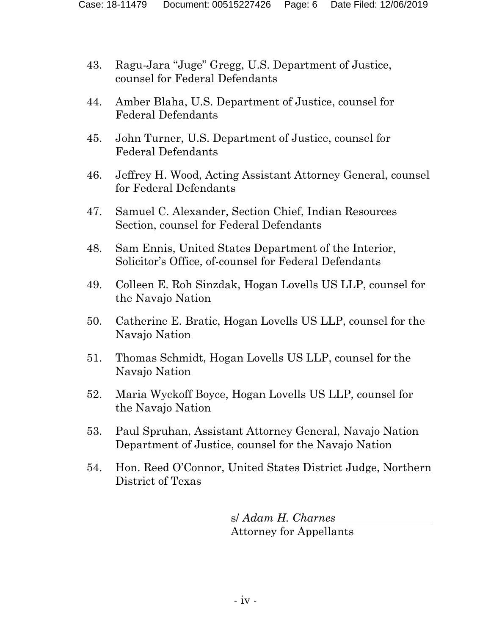- 43. Ragu-Jara "Juge" Gregg, U.S. Department of Justice, counsel for Federal Defendants
- 44. Amber Blaha, U.S. Department of Justice, counsel for Federal Defendants
- 45. John Turner, U.S. Department of Justice, counsel for Federal Defendants
- 46. Jeffrey H. Wood, Acting Assistant Attorney General, counsel for Federal Defendants
- 47. Samuel C. Alexander, Section Chief, Indian Resources Section, counsel for Federal Defendants
- 48. Sam Ennis, United States Department of the Interior, Solicitor's Office, of-counsel for Federal Defendants
- 49. Colleen E. Roh Sinzdak, Hogan Lovells US LLP, counsel for the Navajo Nation
- 50. Catherine E. Bratic, Hogan Lovells US LLP, counsel for the Navajo Nation
- 51. Thomas Schmidt, Hogan Lovells US LLP, counsel for the Navajo Nation
- 52. Maria Wyckoff Boyce, Hogan Lovells US LLP, counsel for the Navajo Nation
- 53. Paul Spruhan, Assistant Attorney General, Navajo Nation Department of Justice, counsel for the Navajo Nation
- 54. Hon. Reed O'Connor, United States District Judge, Northern District of Texas

s/ *Adam H. Charnes* Attorney for Appellants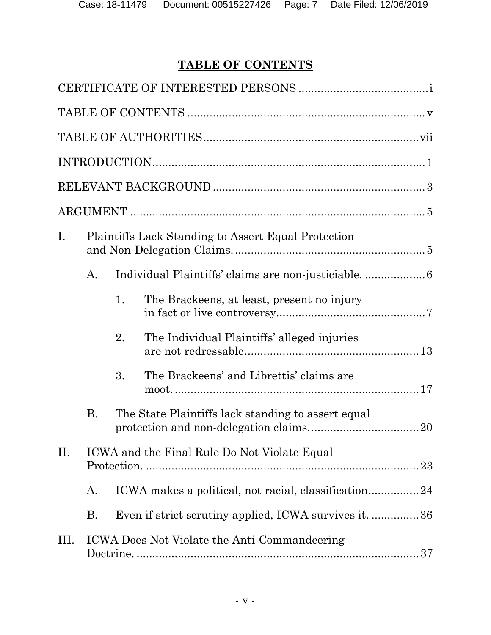## <span id="page-6-0"></span>**TABLE OF CONTENTS**

| $\mathbf{I}$ . |           |    | <b>Plaintiffs Lack Standing to Assert Equal Protection</b> |
|----------------|-----------|----|------------------------------------------------------------|
|                | A.        |    |                                                            |
|                |           | 1. | The Brackeens, at least, present no injury                 |
|                |           | 2. | The Individual Plaintiffs' alleged injuries                |
|                |           | 3. | The Brackeens' and Librettis' claims are                   |
|                | <b>B.</b> |    | The State Plaintiffs lack standing to assert equal         |
| II.            |           |    | ICWA and the Final Rule Do Not Violate Equal               |
|                | A.        |    | ICWA makes a political, not racial, classification24       |
|                | <b>B.</b> |    | Even if strict scrutiny applied, ICWA survives it. 36      |
| III.           |           |    | ICWA Does Not Violate the Anti-Commandeering               |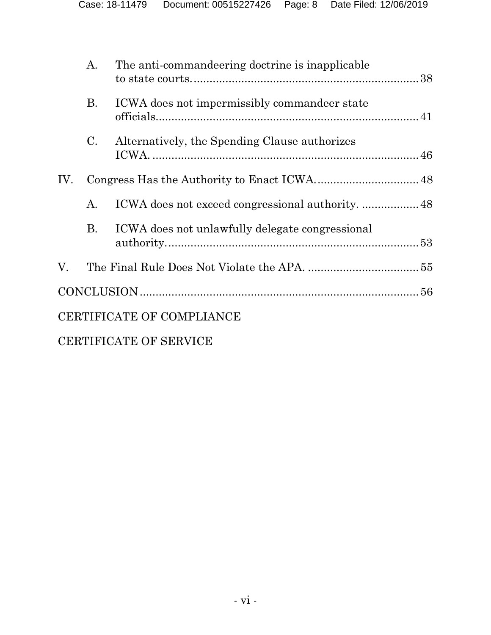|     | A.          | The anti-commandeering doctrine is inapplicable |  |
|-----|-------------|-------------------------------------------------|--|
|     | <b>B.</b>   | ICWA does not impermissibly commandeer state    |  |
|     | $C_{\cdot}$ | Alternatively, the Spending Clause authorizes   |  |
| IV. |             |                                                 |  |
|     | A.          |                                                 |  |
|     | <b>B.</b>   | ICWA does not unlawfully delegate congressional |  |
| V.  |             |                                                 |  |
|     |             |                                                 |  |
|     |             | CERTIFICATE OF COMPLIANCE                       |  |
|     |             | CERTIFICATE OF SERVICE                          |  |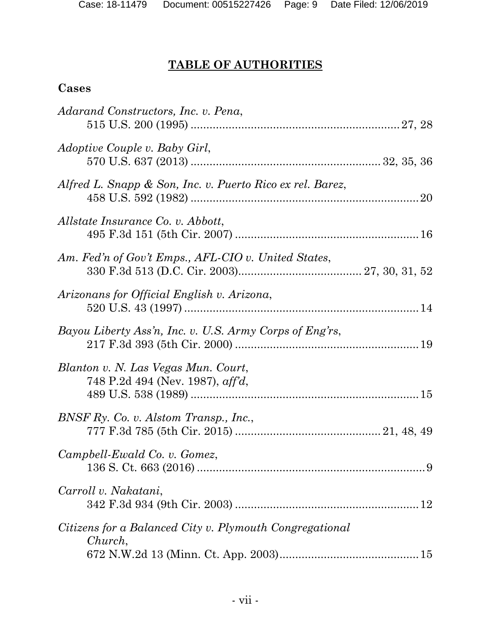# <span id="page-8-0"></span>**TABLE OF AUTHORITIES**

## **Cases**

| Adarand Constructors, Inc. v. Pena,                                     |  |
|-------------------------------------------------------------------------|--|
| Adoptive Couple v. Baby Girl,                                           |  |
| Alfred L. Snapp & Son, Inc. v. Puerto Rico ex rel. Barez,               |  |
| Allstate Insurance Co. v. Abbott,                                       |  |
| Am. Fed'n of Gov't Emps., AFL-CIO v. United States,                     |  |
| Arizonans for Official English v. Arizona,                              |  |
| Bayou Liberty Ass'n, Inc. v. U.S. Army Corps of Eng'rs,                 |  |
| Blanton v. N. Las Vegas Mun. Court,<br>748 P.2d 494 (Nev. 1987), aff'd, |  |
| BNSF Ry. Co. v. Alstom Transp., Inc.,                                   |  |
| Campbell-Ewald Co. v. Gomez,                                            |  |
| Carroll v. Nakatani,                                                    |  |
| Citizens for a Balanced City v. Plymouth Congregational<br>Church,      |  |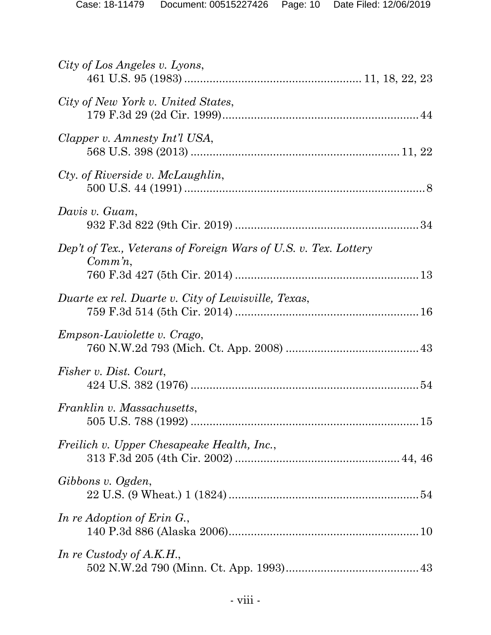| City of Los Angeles v. Lyons,                                                 |
|-------------------------------------------------------------------------------|
| City of New York v. United States,                                            |
| Clapper v. Amnesty Int'l USA,                                                 |
| Cty. of Riverside v. McLaughlin,                                              |
| Davis v. Guam,                                                                |
| Dep't of Tex., Veterans of Foreign Wars of U.S. v. Tex. Lottery<br>$Comm\,n,$ |
| Duarte ex rel. Duarte v. City of Lewisville, Texas,                           |
| <i>Empson-Laviolette v. Crago,</i>                                            |
| Fisher v. Dist. Court,                                                        |
| Franklin v. Massachusetts,                                                    |
| Freilich v. Upper Chesapeake Health, Inc.,                                    |
| Gibbons v. Ogden,                                                             |
| In re Adoption of Erin G.,                                                    |
| In re Custody of A.K.H.,                                                      |
|                                                                               |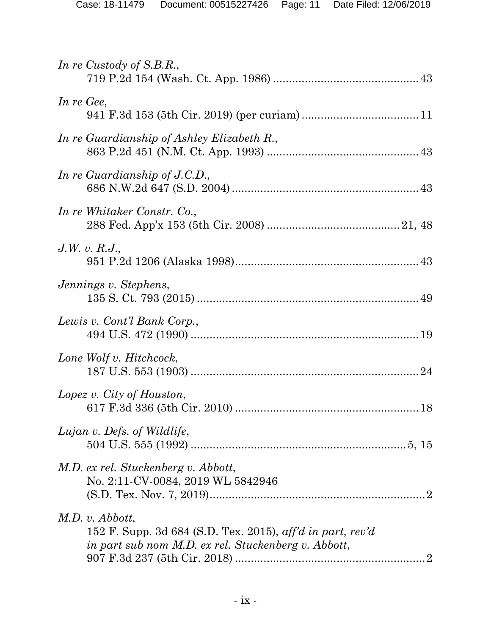| In re Custody of S.B.R.,                                                                                                               |  |
|----------------------------------------------------------------------------------------------------------------------------------------|--|
| In re Gee,                                                                                                                             |  |
| In re Guardianship of Ashley Elizabeth R.,                                                                                             |  |
| In re Guardianship of $J.C.D.,$                                                                                                        |  |
| In re Whitaker Constr. Co.,                                                                                                            |  |
| J.W. v. R.J.                                                                                                                           |  |
| Jennings v. Stephens,                                                                                                                  |  |
| Lewis v. Cont'l Bank Corp.,                                                                                                            |  |
| Lone Wolf v. Hitchcock,                                                                                                                |  |
| Lopez v. City of Houston,                                                                                                              |  |
| Lujan v. Defs. of Wildlife,                                                                                                            |  |
| M.D. ex rel. Stuckenberg v. Abbott,<br>No. 2:11-CV-0084, 2019 WL 5842946                                                               |  |
| $M.D.$ v. Abbott,<br>152 F. Supp. 3d 684 (S.D. Tex. 2015), aff'd in part, rev'd<br>in part sub nom M.D. ex rel. Stuckenberg v. Abbott, |  |
|                                                                                                                                        |  |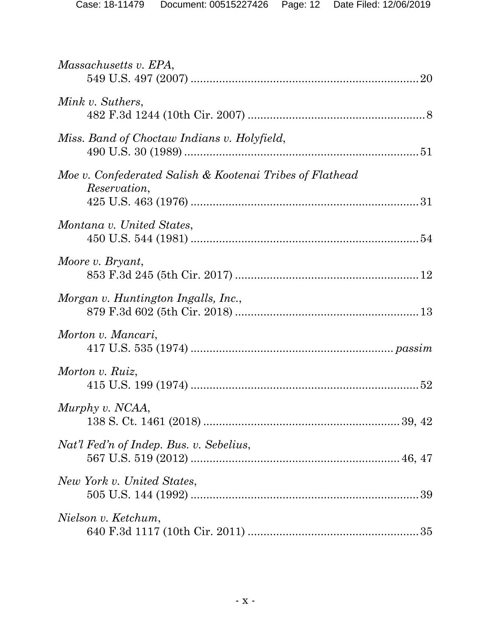| Massachusetts v. EPA,                                                           |  |
|---------------------------------------------------------------------------------|--|
| Mink v. Suthers,                                                                |  |
| Miss. Band of Choctaw Indians v. Holyfield,                                     |  |
| Moe v. Confederated Salish & Kootenai Tribes of Flathead<br><i>Reservation,</i> |  |
| Montana v. United States,                                                       |  |
| Moore v. Bryant,                                                                |  |
| Morgan v. Huntington Ingalls, Inc.,                                             |  |
| Morton v. Mancari,                                                              |  |
| Morton v. Ruiz,                                                                 |  |
| Murphy v. NCAA,                                                                 |  |
| Nat'l Fed'n of Indep. Bus. v. Sebelius,                                         |  |
| New York v. United States,                                                      |  |
| Nielson v. Ketchum,                                                             |  |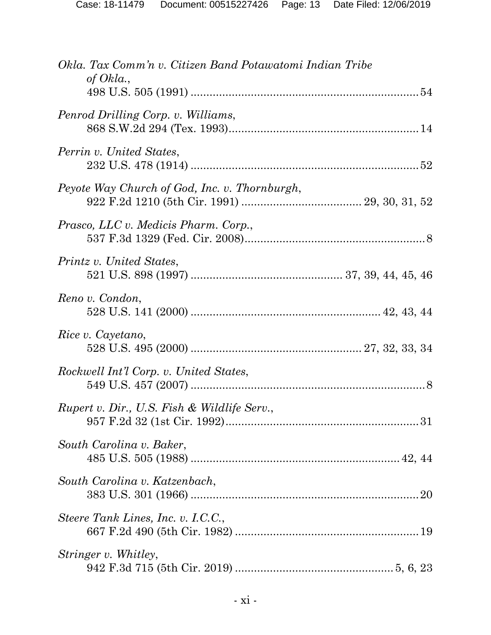| Okla. Tax Comm'n v. Citizen Band Potawatomi Indian Tribe<br>of Okla., |
|-----------------------------------------------------------------------|
| Penrod Drilling Corp. v. Williams,                                    |
| Perrin v. United States,                                              |
| Peyote Way Church of God, Inc. v. Thornburgh,                         |
| Prasco, LLC v. Medicis Pharm. Corp.,                                  |
| Printz v. United States,                                              |
| Reno v. Condon,                                                       |
| Rice v. Cayetano,                                                     |
| Rockwell Int'l Corp. v. United States,                                |
| Rupert v. Dir., U.S. Fish & Wildlife Serv.,                           |
| South Carolina v. Baker,                                              |
| South Carolina v. Katzenbach,                                         |
| Steere Tank Lines, Inc. v. I.C.C.,                                    |
| Stringer v. Whitley,                                                  |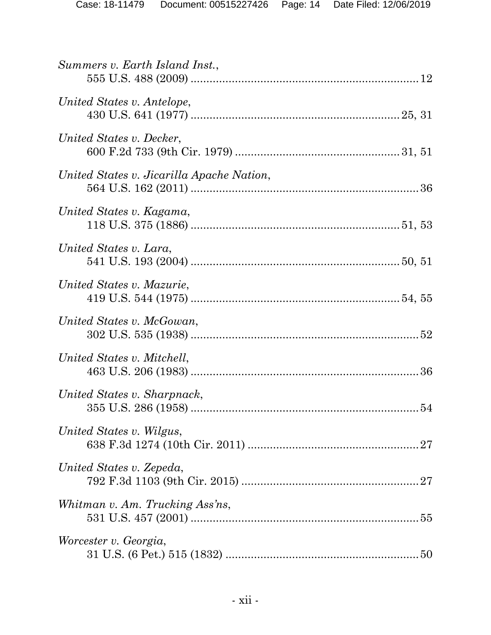| Summers v. Earth Island Inst.,            |
|-------------------------------------------|
| United States v. Antelope,                |
| United States v. Decker,                  |
| United States v. Jicarilla Apache Nation, |
| United States v. Kagama,                  |
| United States v. Lara,                    |
| United States v. Mazurie,                 |
| United States v. McGowan,                 |
| United States v. Mitchell,                |
| United States v. Sharpnack,               |
| United States v. Wilgus,                  |
| United States v. Zepeda,                  |
| Whitman v. Am. Trucking Ass'ns,           |
| Worcester v. Georgia,                     |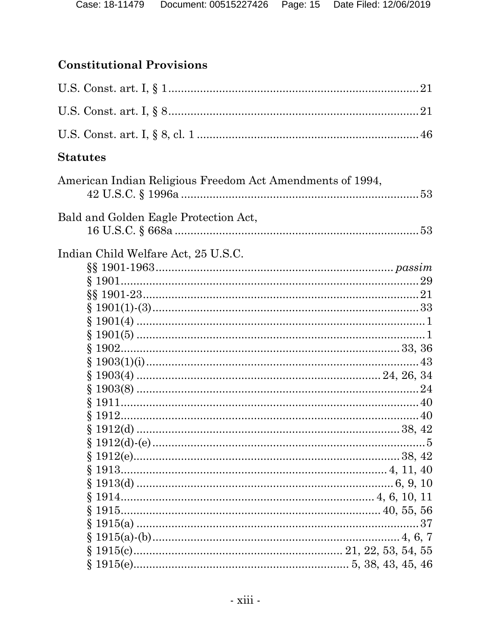# **Constitutional Provisions**

| <b>Statutes</b>                                           |  |
|-----------------------------------------------------------|--|
| American Indian Religious Freedom Act Amendments of 1994, |  |
| Bald and Golden Eagle Protection Act,                     |  |
| Indian Child Welfare Act, 25 U.S.C.                       |  |
|                                                           |  |
|                                                           |  |
|                                                           |  |
|                                                           |  |
|                                                           |  |
|                                                           |  |
|                                                           |  |
|                                                           |  |
|                                                           |  |
|                                                           |  |
|                                                           |  |
|                                                           |  |
|                                                           |  |
|                                                           |  |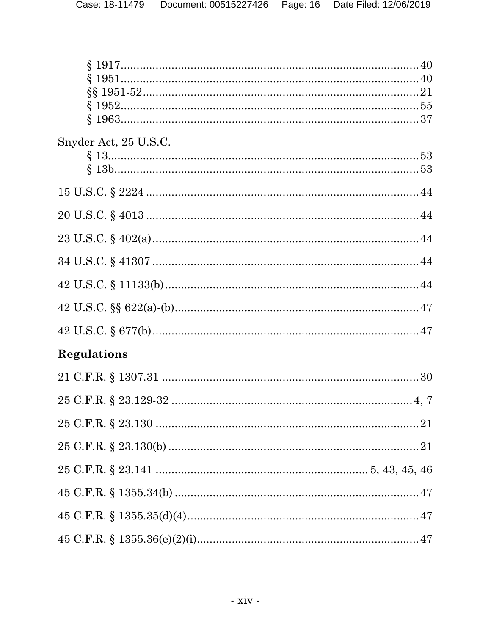| Snyder Act, 25 U.S.C. |
|-----------------------|
|                       |
|                       |
|                       |
|                       |
|                       |
|                       |
|                       |
|                       |
| <b>Regulations</b>    |
|                       |
|                       |
|                       |
|                       |
|                       |
|                       |
|                       |
|                       |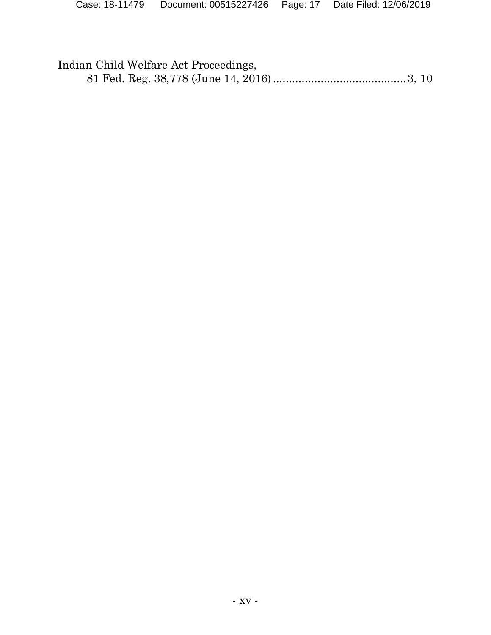| Indian Child Welfare Act Proceedings, |  |
|---------------------------------------|--|
|                                       |  |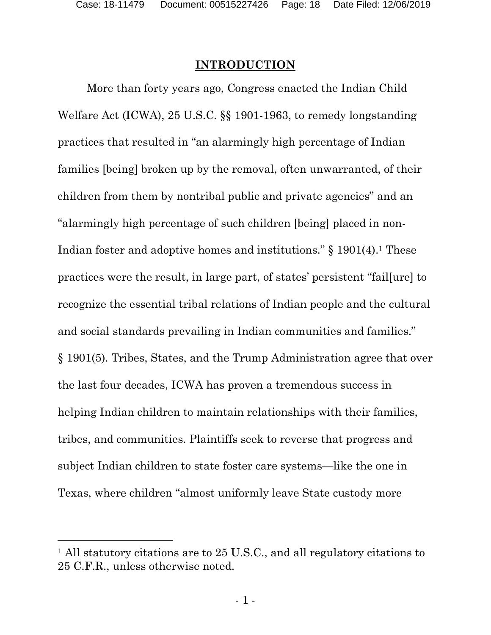## <span id="page-17-0"></span>**INTRODUCTION**

More than forty years ago, Congress enacted the Indian Child Welfare Act (ICWA), 25 U.S.C. §§ 1901-1963, to remedy longstanding practices that resulted in "an alarmingly high percentage of Indian families [being] broken up by the removal, often unwarranted, of their children from them by nontribal public and private agencies" and an "alarmingly high percentage of such children [being] placed in non-Indian foster and adoptive homes and institutions." § [1](#page-17-1)901(4).<sup>1</sup> These practices were the result, in large part, of states' persistent "fail[ure] to recognize the essential tribal relations of Indian people and the cultural and social standards prevailing in Indian communities and families." § 1901(5). Tribes, States, and the Trump Administration agree that over the last four decades, ICWA has proven a tremendous success in helping Indian children to maintain relationships with their families, tribes, and communities. Plaintiffs seek to reverse that progress and subject Indian children to state foster care systems—like the one in Texas, where children "almost uniformly leave State custody more

<span id="page-17-1"></span><sup>&</sup>lt;sup>1</sup> All statutory citations are to 25 U.S.C., and all regulatory citations to 25 C.F.R., unless otherwise noted.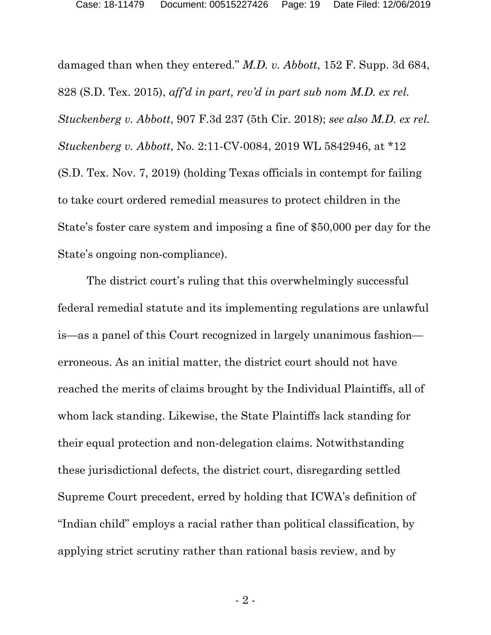damaged than when they entered." *M.D. v. Abbott*, 152 F. Supp. 3d 684, 828 (S.D. Tex. 2015), *aff'd in part, rev'd in part sub nom M.D. ex rel. Stuckenberg v. Abbott*, 907 F.3d 237 (5th Cir. 2018); *see also M.D. ex rel. Stuckenberg v. Abbott*, No. 2:11-CV-0084, 2019 WL 5842946, at \*12 (S.D. Tex. Nov. 7, 2019) (holding Texas officials in contempt for failing to take court ordered remedial measures to protect children in the State's foster care system and imposing a fine of \$50,000 per day for the State's ongoing non-compliance).

The district court's ruling that this overwhelmingly successful federal remedial statute and its implementing regulations are unlawful is—as a panel of this Court recognized in largely unanimous fashion erroneous. As an initial matter, the district court should not have reached the merits of claims brought by the Individual Plaintiffs, all of whom lack standing. Likewise, the State Plaintiffs lack standing for their equal protection and non-delegation claims. Notwithstanding these jurisdictional defects, the district court, disregarding settled Supreme Court precedent, erred by holding that ICWA's definition of "Indian child" employs a racial rather than political classification, by applying strict scrutiny rather than rational basis review, and by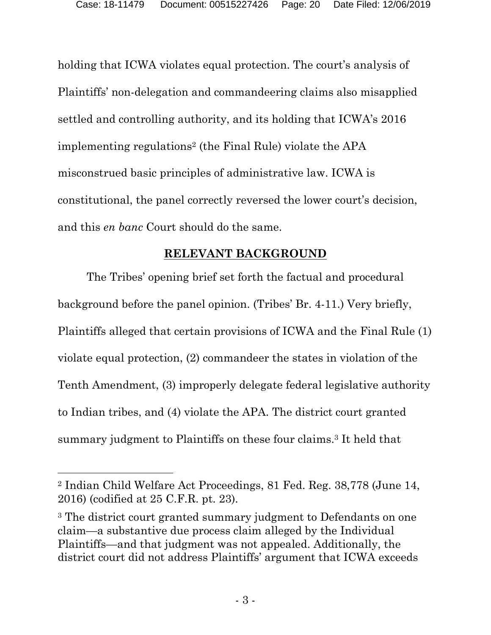holding that ICWA violates equal protection. The court's analysis of Plaintiffs' non-delegation and commandeering claims also misapplied settled and controlling authority, and its holding that ICWA's 2016 implementing regulations[2](#page-19-1) (the Final Rule) violate the APA misconstrued basic principles of administrative law. ICWA is constitutional, the panel correctly reversed the lower court's decision, and this *en banc* Court should do the same.

### <span id="page-19-0"></span>**RELEVANT BACKGROUND**

The Tribes' opening brief set forth the factual and procedural background before the panel opinion. (Tribes' Br. 4-11.) Very briefly, Plaintiffs alleged that certain provisions of ICWA and the Final Rule (1) violate equal protection, (2) commandeer the states in violation of the Tenth Amendment, (3) improperly delegate federal legislative authority to Indian tribes, and (4) violate the APA. The district court granted summary judgment to Plaintiffs on these four claims. [3](#page-19-2) It held that

<span id="page-19-1"></span><sup>2</sup> Indian Child Welfare Act Proceedings, 81 Fed. Reg. 38,778 (June 14, 2016) (codified at 25 C.F.R. pt. 23).

<span id="page-19-2"></span><sup>3</sup> The district court granted summary judgment to Defendants on one claim—a substantive due process claim alleged by the Individual Plaintiffs—and that judgment was not appealed. Additionally, the district court did not address Plaintiffs' argument that ICWA exceeds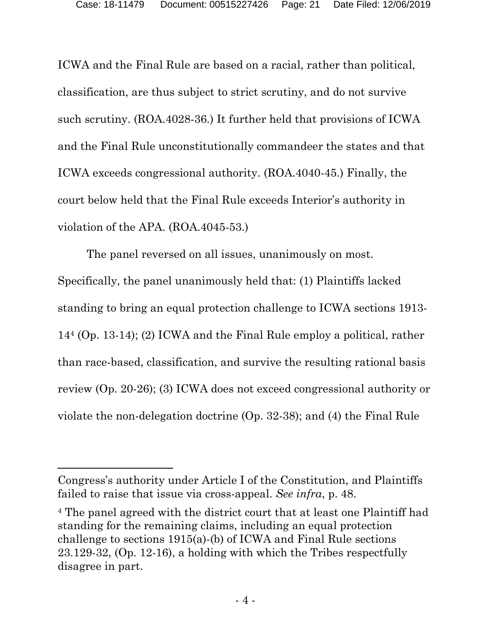ICWA and the Final Rule are based on a racial, rather than political, classification, are thus subject to strict scrutiny, and do not survive such scrutiny. (ROA.4028-36.) It further held that provisions of ICWA and the Final Rule unconstitutionally commandeer the states and that ICWA exceeds congressional authority. (ROA.4040-45.) Finally, the court below held that the Final Rule exceeds Interior's authority in violation of the APA. (ROA.4045-53.)

The panel reversed on all issues, unanimously on most. Specifically, the panel unanimously held that: (1) Plaintiffs lacked standing to bring an equal protection challenge to ICWA sections 1913- 14[4](#page-20-0) (Op. 13-14); (2) ICWA and the Final Rule employ a political, rather than race-based, classification, and survive the resulting rational basis review (Op. 20-26); (3) ICWA does not exceed congressional authority or violate the non-delegation doctrine (Op. 32-38); and (4) the Final Rule

Congress's authority under Article I of the Constitution, and Plaintiffs failed to raise that issue via cross-appeal. *See infra*, p. 48.

<span id="page-20-0"></span><sup>4</sup> The panel agreed with the district court that at least one Plaintiff had standing for the remaining claims, including an equal protection challenge to sections 1915(a)-(b) of ICWA and Final Rule sections 23.129-32, (Op. 12-16), a holding with which the Tribes respectfully disagree in part.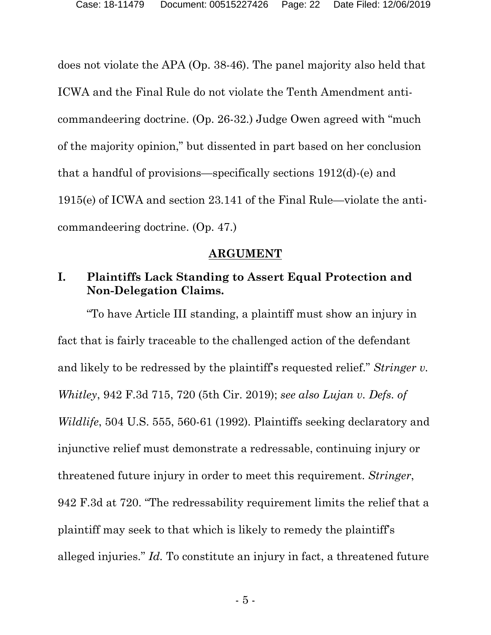does not violate the APA (Op. 38-46). The panel majority also held that ICWA and the Final Rule do not violate the Tenth Amendment anticommandeering doctrine. (Op. 26-32.) Judge Owen agreed with "much of the majority opinion," but dissented in part based on her conclusion that a handful of provisions—specifically sections 1912(d)-(e) and 1915(e) of ICWA and section 23.141 of the Final Rule—violate the anticommandeering doctrine. (Op. 47.)

#### <span id="page-21-0"></span>**ARGUMENT**

## <span id="page-21-1"></span>**I. Plaintiffs Lack Standing to Assert Equal Protection and Non-Delegation Claims.**

"To have Article III standing, a plaintiff must show an injury in fact that is fairly traceable to the challenged action of the defendant and likely to be redressed by the plaintiff's requested relief." *Stringer v. Whitley*, 942 F.3d 715, 720 (5th Cir. 2019); *see also Lujan v. Defs. of Wildlife*, 504 U.S. 555, 560-61 (1992). Plaintiffs seeking declaratory and injunctive relief must demonstrate a redressable, continuing injury or threatened future injury in order to meet this requirement. *Stringer*, 942 F.3d at 720. "The redressability requirement limits the relief that a plaintiff may seek to that which is likely to remedy the plaintiff's alleged injuries." *Id.* To constitute an injury in fact, a threatened future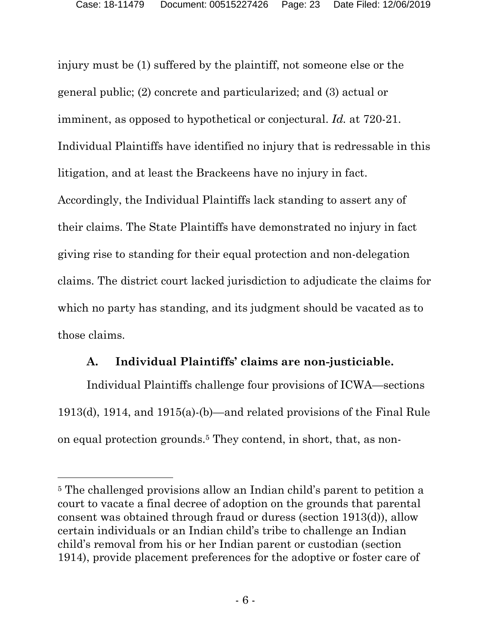injury must be (1) suffered by the plaintiff, not someone else or the general public; (2) concrete and particularized; and (3) actual or imminent, as opposed to hypothetical or conjectural. *Id.* at 720-21. Individual Plaintiffs have identified no injury that is redressable in this litigation, and at least the Brackeens have no injury in fact. Accordingly, the Individual Plaintiffs lack standing to assert any of their claims. The State Plaintiffs have demonstrated no injury in fact giving rise to standing for their equal protection and non-delegation claims. The district court lacked jurisdiction to adjudicate the claims for which no party has standing, and its judgment should be vacated as to those claims.

## <span id="page-22-0"></span>**A. Individual Plaintiffs' claims are non-justiciable.**

Individual Plaintiffs challenge four provisions of ICWA—sections 1913(d), 1914, and 1915(a)-(b)—and related provisions of the Final Rule on equal protection grounds.[5](#page-22-1) They contend, in short, that, as non-

<span id="page-22-1"></span><sup>5</sup> The challenged provisions allow an Indian child's parent to petition a court to vacate a final decree of adoption on the grounds that parental consent was obtained through fraud or duress (section 1913(d)), allow certain individuals or an Indian child's tribe to challenge an Indian child's removal from his or her Indian parent or custodian (section 1914), provide placement preferences for the adoptive or foster care of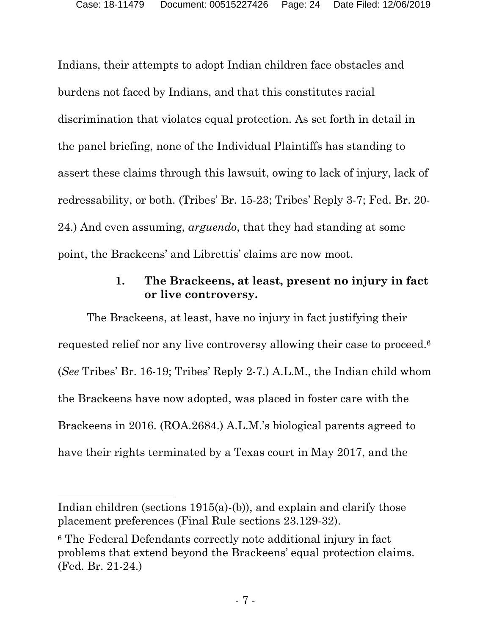Indians, their attempts to adopt Indian children face obstacles and burdens not faced by Indians, and that this constitutes racial discrimination that violates equal protection. As set forth in detail in the panel briefing, none of the Individual Plaintiffs has standing to assert these claims through this lawsuit, owing to lack of injury, lack of redressability, or both. (Tribes' Br. 15-23; Tribes' Reply 3-7; Fed. Br. 20- 24.) And even assuming, *arguendo*, that they had standing at some point, the Brackeens' and Librettis' claims are now moot.

## <span id="page-23-0"></span>**1. The Brackeens, at least, present no injury in fact or live controversy.**

The Brackeens, at least, have no injury in fact justifying their requested relief nor any live controversy allowing their case to proceed. [6](#page-23-1) (*See* Tribes' Br. 16-19; Tribes' Reply 2-7.) A.L.M., the Indian child whom the Brackeens have now adopted, was placed in foster care with the Brackeens in 2016. (ROA.2684.) A.L.M.'s biological parents agreed to have their rights terminated by a Texas court in May 2017, and the

Indian children (sections 1915(a)-(b)), and explain and clarify those placement preferences (Final Rule sections 23.129-32).

<span id="page-23-1"></span><sup>6</sup> The Federal Defendants correctly note additional injury in fact problems that extend beyond the Brackeens' equal protection claims. (Fed. Br. 21-24.)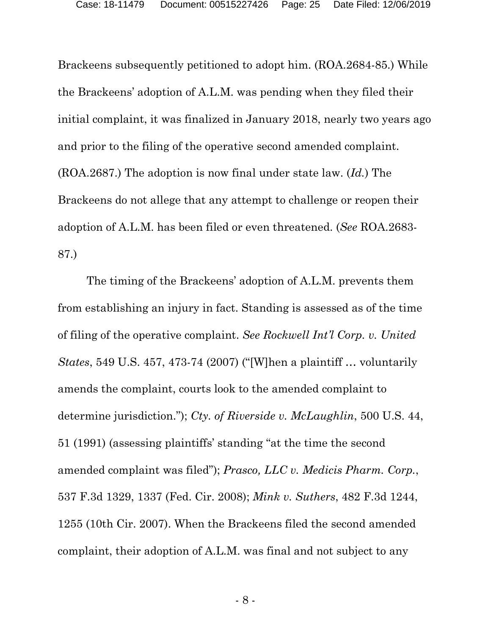Brackeens subsequently petitioned to adopt him. (ROA.2684-85.) While the Brackeens' adoption of A.L.M. was pending when they filed their initial complaint, it was finalized in January 2018, nearly two years ago and prior to the filing of the operative second amended complaint. (ROA.2687.) The adoption is now final under state law. (*Id.*) The Brackeens do not allege that any attempt to challenge or reopen their adoption of A.L.M. has been filed or even threatened. (*See* ROA.2683- 87.)

The timing of the Brackeens' adoption of A.L.M. prevents them from establishing an injury in fact. Standing is assessed as of the time of filing of the operative complaint. *See Rockwell Int'l Corp. v. United States*, 549 U.S. 457, 473-74 (2007) ("[W]hen a plaintiff … voluntarily amends the complaint, courts look to the amended complaint to determine jurisdiction."); *Cty. of Riverside v. McLaughlin*, 500 U.S. 44, 51 (1991) (assessing plaintiffs' standing "at the time the second amended complaint was filed"); *Prasco, LLC v. Medicis Pharm. Corp.*, 537 F.3d 1329, 1337 (Fed. Cir. 2008); *Mink v. Suthers*, 482 F.3d 1244, 1255 (10th Cir. 2007). When the Brackeens filed the second amended complaint, their adoption of A.L.M. was final and not subject to any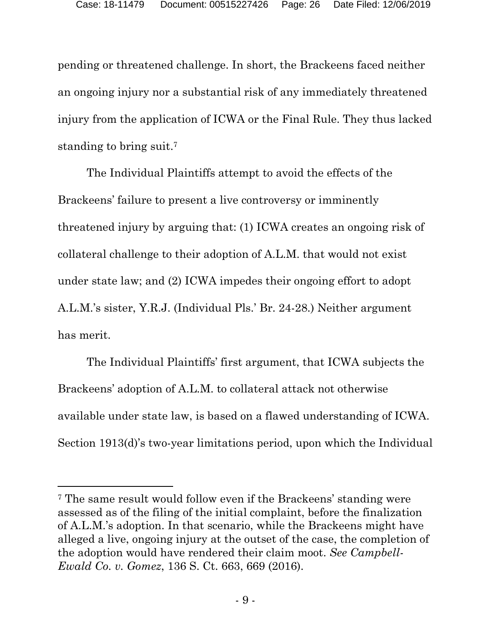pending or threatened challenge. In short, the Brackeens faced neither an ongoing injury nor a substantial risk of any immediately threatened injury from the application of ICWA or the Final Rule. They thus lacked standing to bring suit.[7](#page-25-0)

The Individual Plaintiffs attempt to avoid the effects of the Brackeens' failure to present a live controversy or imminently threatened injury by arguing that: (1) ICWA creates an ongoing risk of collateral challenge to their adoption of A.L.M. that would not exist under state law; and (2) ICWA impedes their ongoing effort to adopt A.L.M.'s sister, Y.R.J. (Individual Pls.' Br. 24-28.) Neither argument has merit.

The Individual Plaintiffs' first argument, that ICWA subjects the Brackeens' adoption of A.L.M. to collateral attack not otherwise available under state law, is based on a flawed understanding of ICWA. Section 1913(d)'s two-year limitations period, upon which the Individual

<span id="page-25-0"></span><sup>7</sup> The same result would follow even if the Brackeens' standing were assessed as of the filing of the initial complaint, before the finalization of A.L.M.'s adoption. In that scenario, while the Brackeens might have alleged a live, ongoing injury at the outset of the case, the completion of the adoption would have rendered their claim moot. *See Campbell-Ewald Co. v. Gomez*, 136 S. Ct. 663, 669 (2016).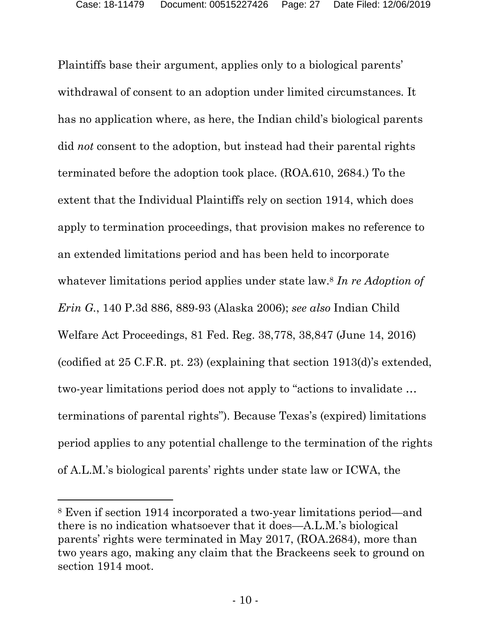Plaintiffs base their argument, applies only to a biological parents' withdrawal of consent to an adoption under limited circumstances*.* It has no application where, as here, the Indian child's biological parents did *not* consent to the adoption, but instead had their parental rights terminated before the adoption took place. (ROA.610, 2684.) To the extent that the Individual Plaintiffs rely on section 1914, which does apply to termination proceedings, that provision makes no reference to an extended limitations period and has been held to incorporate whatever limitations period applies under state law.[8](#page-26-0) *In re Adoption of Erin G.*, 140 P.3d 886, 889-93 (Alaska 2006); *see also* Indian Child Welfare Act Proceedings, 81 Fed. Reg. 38,778, 38,847 (June 14, 2016) (codified at 25 C.F.R. pt. 23) (explaining that section 1913(d)'s extended, two-year limitations period does not apply to "actions to invalidate … terminations of parental rights"). Because Texas's (expired) limitations period applies to any potential challenge to the termination of the rights of A.L.M.'s biological parents' rights under state law or ICWA, the

<span id="page-26-0"></span><sup>8</sup> Even if section 1914 incorporated a two-year limitations period—and there is no indication whatsoever that it does—A.L.M.'s biological parents' rights were terminated in May 2017, (ROA.2684), more than two years ago, making any claim that the Brackeens seek to ground on section 1914 moot.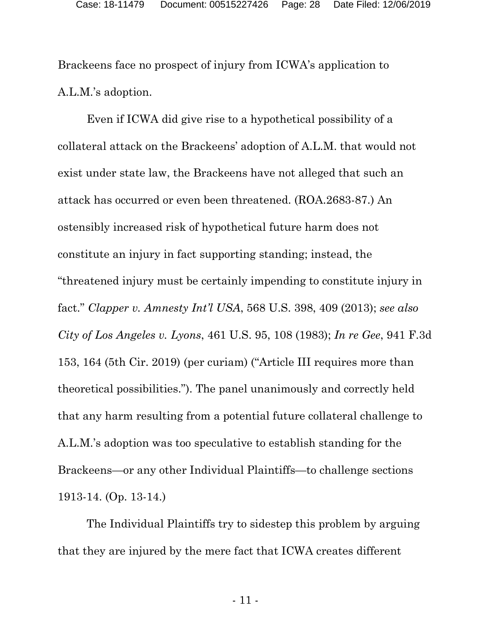Brackeens face no prospect of injury from ICWA's application to A.L.M.'s adoption.

Even if ICWA did give rise to a hypothetical possibility of a collateral attack on the Brackeens' adoption of A.L.M. that would not exist under state law, the Brackeens have not alleged that such an attack has occurred or even been threatened. (ROA.2683-87.) An ostensibly increased risk of hypothetical future harm does not constitute an injury in fact supporting standing; instead, the "threatened injury must be certainly impending to constitute injury in fact." *Clapper v. Amnesty Int'l USA*, 568 U.S. 398, 409 (2013); *see also City of Los Angeles v. Lyons*, 461 U.S. 95, 108 (1983); *In re Gee*, 941 F.3d 153, 164 (5th Cir. 2019) (per curiam) ("Article III requires more than theoretical possibilities."). The panel unanimously and correctly held that any harm resulting from a potential future collateral challenge to A.L.M.'s adoption was too speculative to establish standing for the Brackeens—or any other Individual Plaintiffs—to challenge sections 1913-14. (Op. 13-14.)

The Individual Plaintiffs try to sidestep this problem by arguing that they are injured by the mere fact that ICWA creates different

- 11 -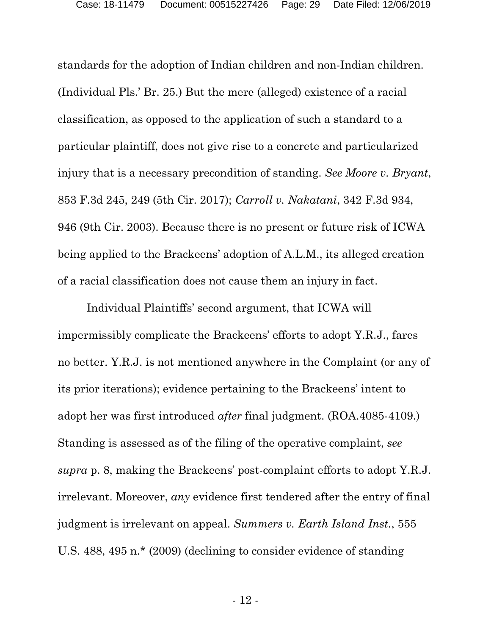standards for the adoption of Indian children and non-Indian children. (Individual Pls.' Br. 25.) But the mere (alleged) existence of a racial classification, as opposed to the application of such a standard to a particular plaintiff, does not give rise to a concrete and particularized injury that is a necessary precondition of standing. *See Moore v. Bryant*, 853 F.3d 245, 249 (5th Cir. 2017); *Carroll v. Nakatani*, 342 F.3d 934, 946 (9th Cir. 2003). Because there is no present or future risk of ICWA being applied to the Brackeens' adoption of A.L.M., its alleged creation of a racial classification does not cause them an injury in fact.

Individual Plaintiffs' second argument, that ICWA will impermissibly complicate the Brackeens' efforts to adopt Y.R.J., fares no better. Y.R.J. is not mentioned anywhere in the Complaint (or any of its prior iterations); evidence pertaining to the Brackeens' intent to adopt her was first introduced *after* final judgment. (ROA.4085-4109.) Standing is assessed as of the filing of the operative complaint, *see supra* p. 8, making the Brackeens' post-complaint efforts to adopt Y.R.J. irrelevant. Moreover, *any* evidence first tendered after the entry of final judgment is irrelevant on appeal. *Summers v. Earth Island Inst.*, 555 U.S. 488, 495 n.\* (2009) (declining to consider evidence of standing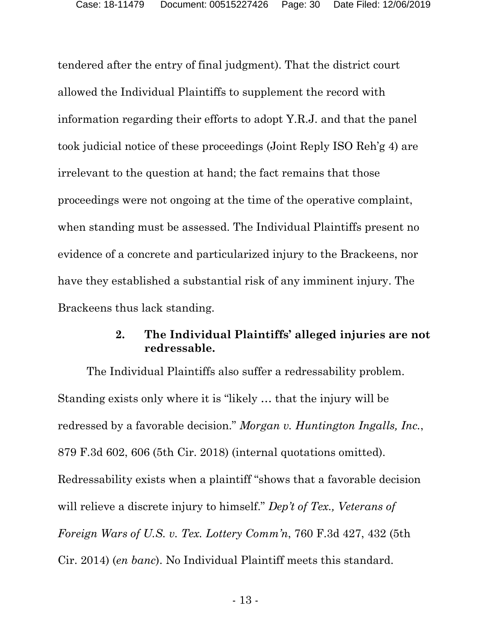tendered after the entry of final judgment). That the district court allowed the Individual Plaintiffs to supplement the record with information regarding their efforts to adopt Y.R.J. and that the panel took judicial notice of these proceedings (Joint Reply ISO Reh'g 4) are irrelevant to the question at hand; the fact remains that those proceedings were not ongoing at the time of the operative complaint, when standing must be assessed. The Individual Plaintiffs present no evidence of a concrete and particularized injury to the Brackeens, nor have they established a substantial risk of any imminent injury. The Brackeens thus lack standing.

## <span id="page-29-0"></span>**2. The Individual Plaintiffs' alleged injuries are not redressable.**

The Individual Plaintiffs also suffer a redressability problem. Standing exists only where it is "likely … that the injury will be redressed by a favorable decision." *Morgan v. Huntington Ingalls, Inc.*, 879 F.3d 602, 606 (5th Cir. 2018) (internal quotations omitted). Redressability exists when a plaintiff "shows that a favorable decision will relieve a discrete injury to himself." *Dep't of Tex., Veterans of Foreign Wars of U.S. v. Tex. Lottery Comm'n*, 760 F.3d 427, 432 (5th Cir. 2014) (*en banc*). No Individual Plaintiff meets this standard.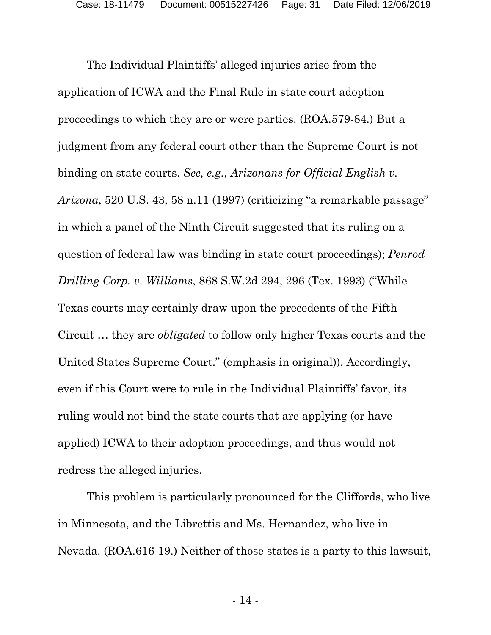The Individual Plaintiffs' alleged injuries arise from the application of ICWA and the Final Rule in state court adoption proceedings to which they are or were parties. (ROA.579-84.) But a judgment from any federal court other than the Supreme Court is not binding on state courts. *See, e.g.*, *Arizonans for Official English v. Arizona*, 520 U.S. 43, 58 n.11 (1997) (criticizing "a remarkable passage" in which a panel of the Ninth Circuit suggested that its ruling on a question of federal law was binding in state court proceedings); *Penrod Drilling Corp. v. Williams*, 868 S.W.2d 294, 296 (Tex. 1993) ("While Texas courts may certainly draw upon the precedents of the Fifth Circuit … they are *obligated* to follow only higher Texas courts and the United States Supreme Court." (emphasis in original)). Accordingly, even if this Court were to rule in the Individual Plaintiffs' favor, its ruling would not bind the state courts that are applying (or have applied) ICWA to their adoption proceedings, and thus would not redress the alleged injuries.

This problem is particularly pronounced for the Cliffords, who live in Minnesota, and the Librettis and Ms. Hernandez, who live in Nevada. (ROA.616-19.) Neither of those states is a party to this lawsuit,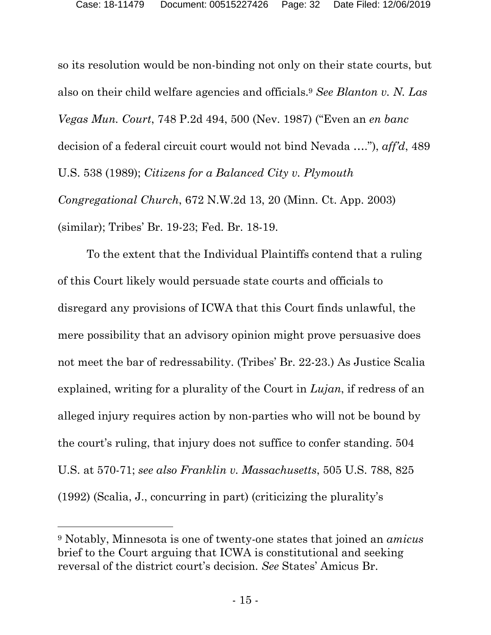so its resolution would be non-binding not only on their state courts, but also on their child welfare agencies and officials. [9](#page-31-0) *See Blanton v. N. Las Vegas Mun. Court*, 748 P.2d 494, 500 (Nev. 1987) ("Even an *en banc* decision of a federal circuit court would not bind Nevada …."), *aff'd*, 489 U.S. 538 (1989); *Citizens for a Balanced City v. Plymouth Congregational Church*, 672 N.W.2d 13, 20 (Minn. Ct. App. 2003) (similar); Tribes' Br. 19-23; Fed. Br. 18-19.

To the extent that the Individual Plaintiffs contend that a ruling of this Court likely would persuade state courts and officials to disregard any provisions of ICWA that this Court finds unlawful, the mere possibility that an advisory opinion might prove persuasive does not meet the bar of redressability. (Tribes' Br. 22-23.) As Justice Scalia explained, writing for a plurality of the Court in *Lujan*, if redress of an alleged injury requires action by non-parties who will not be bound by the court's ruling, that injury does not suffice to confer standing. 504 U.S. at 570-71; *see also Franklin v. Massachusetts*, 505 U.S. 788, 825 (1992) (Scalia, J., concurring in part) (criticizing the plurality's

<span id="page-31-0"></span><sup>9</sup> Notably, Minnesota is one of twenty-one states that joined an *amicus* brief to the Court arguing that ICWA is constitutional and seeking reversal of the district court's decision. *See* States' Amicus Br.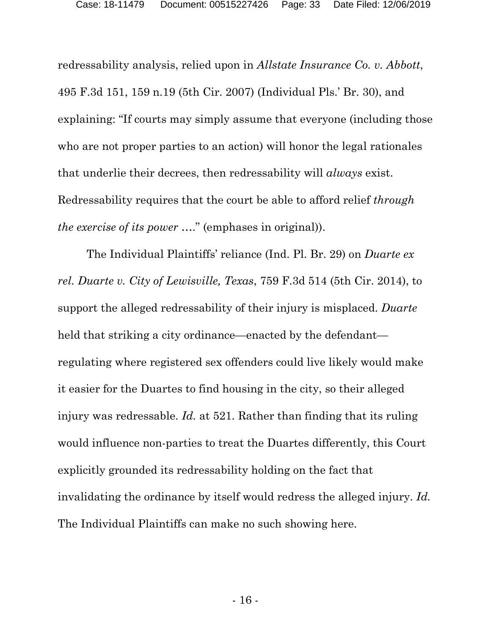redressability analysis, relied upon in *Allstate Insurance Co. v. Abbott*, 495 F.3d 151, 159 n.19 (5th Cir. 2007) (Individual Pls.' Br. 30), and explaining: "If courts may simply assume that everyone (including those who are not proper parties to an action) will honor the legal rationales that underlie their decrees, then redressability will *always* exist. Redressability requires that the court be able to afford relief *through the exercise of its power* …." (emphases in original)).

The Individual Plaintiffs' reliance (Ind. Pl. Br. 29) on *Duarte ex rel. Duarte v. City of Lewisville, Texas*, 759 F.3d 514 (5th Cir. 2014), to support the alleged redressability of their injury is misplaced. *Duarte* held that striking a city ordinance—enacted by the defendant regulating where registered sex offenders could live likely would make it easier for the Duartes to find housing in the city, so their alleged injury was redressable. *Id.* at 521. Rather than finding that its ruling would influence non-parties to treat the Duartes differently, this Court explicitly grounded its redressability holding on the fact that invalidating the ordinance by itself would redress the alleged injury. *Id.*  The Individual Plaintiffs can make no such showing here.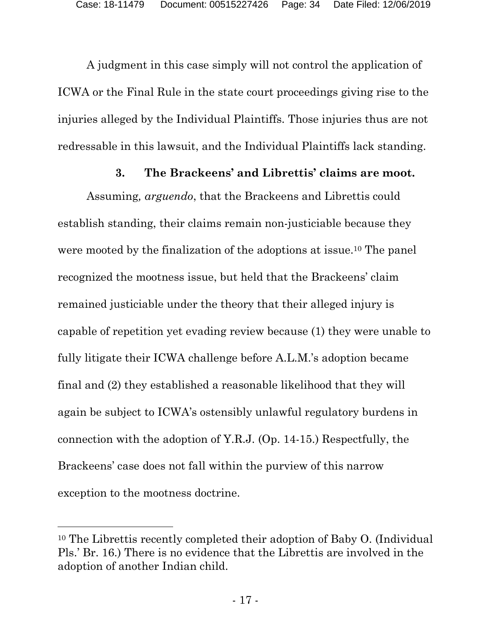A judgment in this case simply will not control the application of ICWA or the Final Rule in the state court proceedings giving rise to the injuries alleged by the Individual Plaintiffs. Those injuries thus are not redressable in this lawsuit, and the Individual Plaintiffs lack standing.

#### <span id="page-33-0"></span>**3. The Brackeens' and Librettis' claims are moot.**

Assuming*, arguendo*, that the Brackeens and Librettis could establish standing, their claims remain non-justiciable because they were mooted by the finalization of the adoptions at issue.[10](#page-33-1) The panel recognized the mootness issue, but held that the Brackeens' claim remained justiciable under the theory that their alleged injury is capable of repetition yet evading review because (1) they were unable to fully litigate their ICWA challenge before A.L.M.'s adoption became final and (2) they established a reasonable likelihood that they will again be subject to ICWA's ostensibly unlawful regulatory burdens in connection with the adoption of Y.R.J. (Op. 14-15.) Respectfully, the Brackeens' case does not fall within the purview of this narrow exception to the mootness doctrine.

<span id="page-33-1"></span><sup>10</sup> The Librettis recently completed their adoption of Baby O. (Individual Pls.' Br. 16.) There is no evidence that the Librettis are involved in the adoption of another Indian child.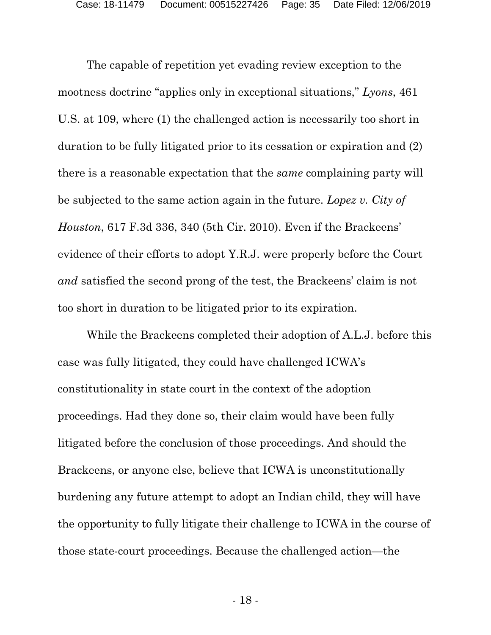The capable of repetition yet evading review exception to the mootness doctrine "applies only in exceptional situations," *Lyons*, 461 U.S. at 109, where (1) the challenged action is necessarily too short in duration to be fully litigated prior to its cessation or expiration and (2) there is a reasonable expectation that the *same* complaining party will be subjected to the same action again in the future. *Lopez v. City of Houston*, 617 F.3d 336, 340 (5th Cir. 2010). Even if the Brackeens' evidence of their efforts to adopt Y.R.J. were properly before the Court *and* satisfied the second prong of the test, the Brackeens' claim is not too short in duration to be litigated prior to its expiration.

While the Brackeens completed their adoption of A.L.J. before this case was fully litigated, they could have challenged ICWA's constitutionality in state court in the context of the adoption proceedings. Had they done so, their claim would have been fully litigated before the conclusion of those proceedings. And should the Brackeens, or anyone else, believe that ICWA is unconstitutionally burdening any future attempt to adopt an Indian child, they will have the opportunity to fully litigate their challenge to ICWA in the course of those state-court proceedings. Because the challenged action—the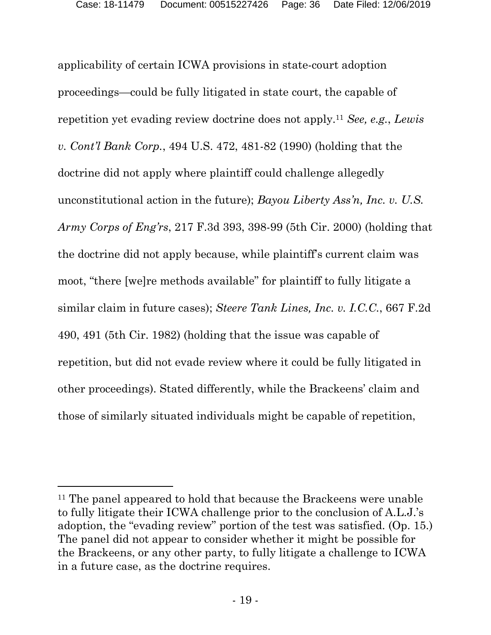applicability of certain ICWA provisions in state-court adoption proceedings—could be fully litigated in state court, the capable of repetition yet evading review doctrine does not apply.[11](#page-35-0) *See, e.g.*, *Lewis v. Cont'l Bank Corp.*, 494 U.S. 472, 481-82 (1990) (holding that the doctrine did not apply where plaintiff could challenge allegedly unconstitutional action in the future); *Bayou Liberty Ass'n, Inc. v. U.S. Army Corps of Eng'rs*, 217 F.3d 393, 398-99 (5th Cir. 2000) (holding that the doctrine did not apply because, while plaintiff's current claim was moot, "there [we]re methods available" for plaintiff to fully litigate a similar claim in future cases); *Steere Tank Lines, Inc. v. I.C.C.*, 667 F.2d 490, 491 (5th Cir. 1982) (holding that the issue was capable of repetition, but did not evade review where it could be fully litigated in other proceedings). Stated differently, while the Brackeens' claim and those of similarly situated individuals might be capable of repetition,

<span id="page-35-0"></span><sup>&</sup>lt;sup>11</sup> The panel appeared to hold that because the Brackeens were unable to fully litigate their ICWA challenge prior to the conclusion of A.L.J.'s adoption, the "evading review" portion of the test was satisfied. (Op. 15.) The panel did not appear to consider whether it might be possible for the Brackeens, or any other party, to fully litigate a challenge to ICWA in a future case, as the doctrine requires.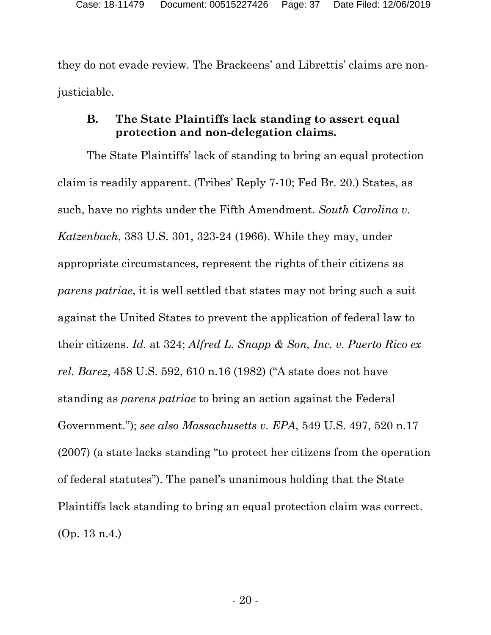they do not evade review. The Brackeens' and Librettis' claims are nonjusticiable.

## **B. The State Plaintiffs lack standing to assert equal protection and non-delegation claims.**

The State Plaintiffs' lack of standing to bring an equal protection claim is readily apparent. (Tribes' Reply 7-10; Fed Br. 20.) States, as such, have no rights under the Fifth Amendment. *South Carolina v. Katzenbach*, 383 U.S. 301, 323-24 (1966). While they may, under appropriate circumstances, represent the rights of their citizens as *parens patriae*, it is well settled that states may not bring such a suit against the United States to prevent the application of federal law to their citizens. *Id.* at 324; *Alfred L. Snapp & Son, Inc. v. Puerto Rico ex rel. Barez*, 458 U.S. 592, 610 n.16 (1982) ("A state does not have standing as *parens patriae* to bring an action against the Federal Government."); *see also Massachusetts v. EPA*, 549 U.S. 497, 520 n.17 (2007) (a state lacks standing "to protect her citizens from the operation of federal statutes"). The panel's unanimous holding that the State Plaintiffs lack standing to bring an equal protection claim was correct. (Op. 13 n.4.)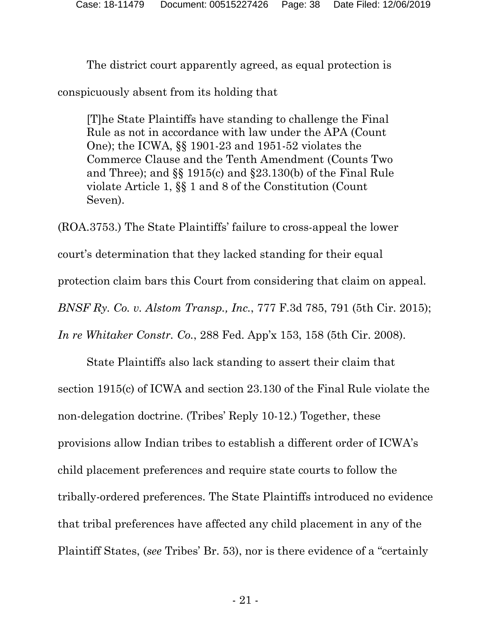The district court apparently agreed, as equal protection is

conspicuously absent from its holding that

[T]he State Plaintiffs have standing to challenge the Final Rule as not in accordance with law under the APA (Count One); the ICWA, §§ 1901-23 and 1951-52 violates the Commerce Clause and the Tenth Amendment (Counts Two and Three); and §§ 1915(c) and §23.130(b) of the Final Rule violate Article 1, §§ 1 and 8 of the Constitution (Count Seven).

(ROA.3753.) The State Plaintiffs' failure to cross-appeal the lower court's determination that they lacked standing for their equal protection claim bars this Court from considering that claim on appeal. *BNSF Ry. Co. v. Alstom Transp., Inc.*, 777 F.3d 785, 791 (5th Cir. 2015); *In re Whitaker Constr. Co.*, 288 Fed. App'x 153, 158 (5th Cir. 2008).

State Plaintiffs also lack standing to assert their claim that section 1915(c) of ICWA and section 23.130 of the Final Rule violate the non-delegation doctrine. (Tribes' Reply 10-12.) Together, these provisions allow Indian tribes to establish a different order of ICWA's child placement preferences and require state courts to follow the tribally-ordered preferences. The State Plaintiffs introduced no evidence that tribal preferences have affected any child placement in any of the Plaintiff States, (*see* Tribes' Br. 53), nor is there evidence of a "certainly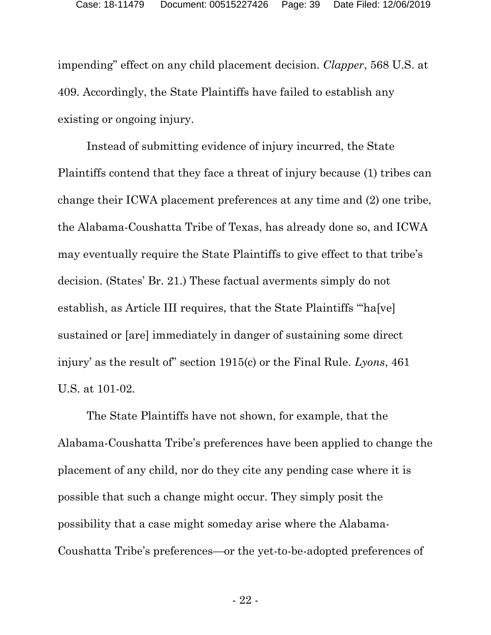impending" effect on any child placement decision. *Clapper*, 568 U.S. at 409. Accordingly, the State Plaintiffs have failed to establish any existing or ongoing injury.

Instead of submitting evidence of injury incurred, the State Plaintiffs contend that they face a threat of injury because (1) tribes can change their ICWA placement preferences at any time and (2) one tribe, the Alabama-Coushatta Tribe of Texas, has already done so, and ICWA may eventually require the State Plaintiffs to give effect to that tribe's decision. (States' Br. 21.) These factual averments simply do not establish, as Article III requires, that the State Plaintiffs "'ha[ve] sustained or [are] immediately in danger of sustaining some direct injury' as the result of" section 1915(c) or the Final Rule. *Lyons*, 461 U.S. at 101-02.

The State Plaintiffs have not shown, for example, that the Alabama-Coushatta Tribe's preferences have been applied to change the placement of any child, nor do they cite any pending case where it is possible that such a change might occur. They simply posit the possibility that a case might someday arise where the Alabama-Coushatta Tribe's preferences—or the yet-to-be-adopted preferences of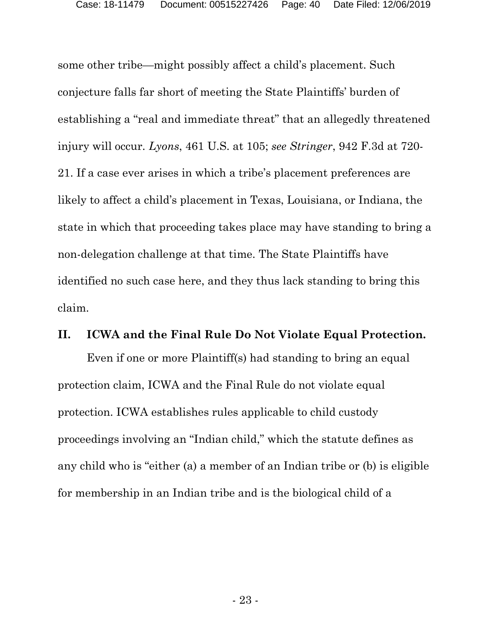some other tribe—might possibly affect a child's placement. Such conjecture falls far short of meeting the State Plaintiffs' burden of establishing a "real and immediate threat" that an allegedly threatened injury will occur. *Lyons*, 461 U.S. at 105; *see Stringer*, 942 F.3d at 720- 21. If a case ever arises in which a tribe's placement preferences are likely to affect a child's placement in Texas, Louisiana, or Indiana, the state in which that proceeding takes place may have standing to bring a non-delegation challenge at that time. The State Plaintiffs have identified no such case here, and they thus lack standing to bring this claim.

## **II. ICWA and the Final Rule Do Not Violate Equal Protection.**

Even if one or more Plaintiff(s) had standing to bring an equal protection claim, ICWA and the Final Rule do not violate equal protection. ICWA establishes rules applicable to child custody proceedings involving an "Indian child," which the statute defines as any child who is "either (a) a member of an Indian tribe or (b) is eligible for membership in an Indian tribe and is the biological child of a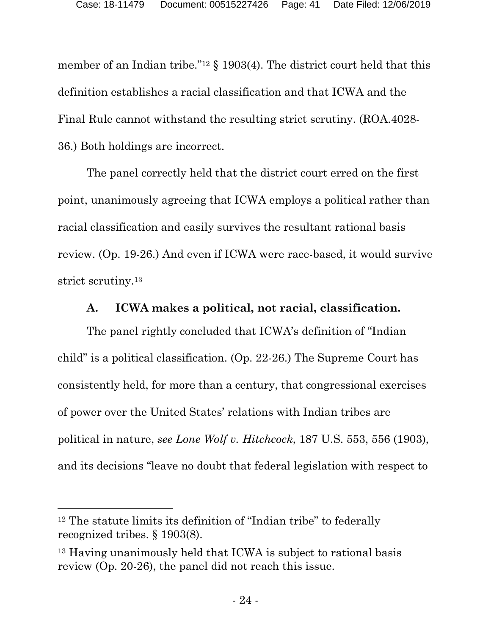member of an Indian tribe."<sup>[12](#page-40-0)</sup> § 1903(4). The district court held that this definition establishes a racial classification and that ICWA and the Final Rule cannot withstand the resulting strict scrutiny. (ROA.4028- 36.) Both holdings are incorrect.

The panel correctly held that the district court erred on the first point, unanimously agreeing that ICWA employs a political rather than racial classification and easily survives the resultant rational basis review. (Op. 19-26.) And even if ICWA were race-based, it would survive strict scrutiny.[13](#page-40-1)

# **A. ICWA makes a political, not racial, classification.**

The panel rightly concluded that ICWA's definition of "Indian child" is a political classification. (Op. 22-26.) The Supreme Court has consistently held, for more than a century, that congressional exercises of power over the United States' relations with Indian tribes are political in nature, *see Lone Wolf v. Hitchcock*, 187 U.S. 553, 556 (1903), and its decisions "leave no doubt that federal legislation with respect to

<span id="page-40-0"></span><sup>12</sup> The statute limits its definition of "Indian tribe" to federally recognized tribes. § 1903(8).

<span id="page-40-1"></span><sup>13</sup> Having unanimously held that ICWA is subject to rational basis review (Op. 20-26), the panel did not reach this issue.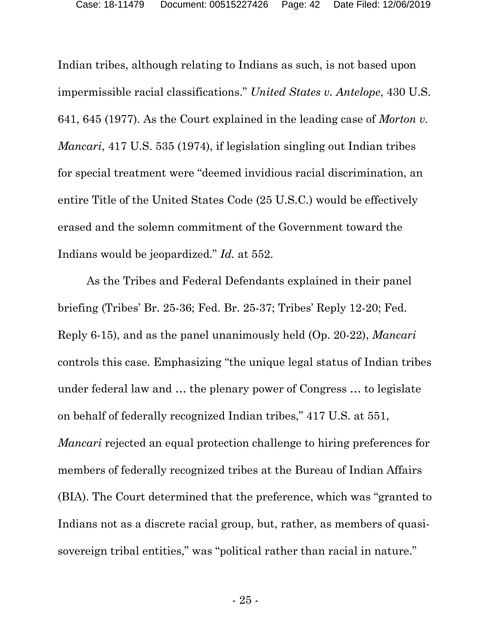Indian tribes, although relating to Indians as such, is not based upon impermissible racial classifications." *United States v. Antelope*, 430 U.S. 641, 645 (1977). As the Court explained in the leading case of *Morton v. Mancari*, 417 U.S. 535 (1974), if legislation singling out Indian tribes for special treatment were "deemed invidious racial discrimination, an entire Title of the United States Code (25 U.S.C.) would be effectively erased and the solemn commitment of the Government toward the Indians would be jeopardized." *Id.* at 552.

As the Tribes and Federal Defendants explained in their panel briefing (Tribes' Br. 25-36; Fed. Br. 25-37; Tribes' Reply 12-20; Fed. Reply 6-15), and as the panel unanimously held (Op. 20-22), *Mancari* controls this case. Emphasizing "the unique legal status of Indian tribes under federal law and … the plenary power of Congress … to legislate on behalf of federally recognized Indian tribes," 417 U.S. at 551, *Mancari* rejected an equal protection challenge to hiring preferences for members of federally recognized tribes at the Bureau of Indian Affairs (BIA). The Court determined that the preference, which was "granted to Indians not as a discrete racial group, but, rather, as members of quasisovereign tribal entities," was "political rather than racial in nature."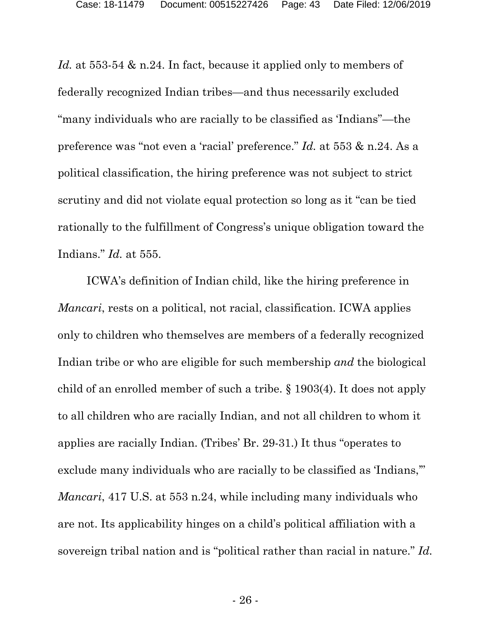*Id.* at 553-54 & n.24. In fact, because it applied only to members of federally recognized Indian tribes—and thus necessarily excluded "many individuals who are racially to be classified as 'Indians"—the preference was "not even a 'racial' preference." *Id.* at 553 & n.24. As a political classification, the hiring preference was not subject to strict scrutiny and did not violate equal protection so long as it "can be tied rationally to the fulfillment of Congress's unique obligation toward the Indians." *Id.* at 555.

ICWA's definition of Indian child, like the hiring preference in *Mancari*, rests on a political, not racial, classification. ICWA applies only to children who themselves are members of a federally recognized Indian tribe or who are eligible for such membership *and* the biological child of an enrolled member of such a tribe. § 1903(4). It does not apply to all children who are racially Indian, and not all children to whom it applies are racially Indian. (Tribes' Br. 29-31.) It thus "operates to exclude many individuals who are racially to be classified as 'Indians,'" *Mancari*, 417 U.S. at 553 n.24, while including many individuals who are not. Its applicability hinges on a child's political affiliation with a sovereign tribal nation and is "political rather than racial in nature." *Id.*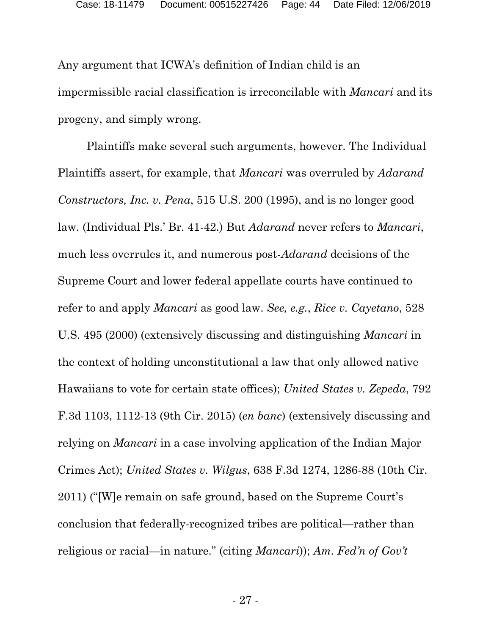Any argument that ICWA's definition of Indian child is an impermissible racial classification is irreconcilable with *Mancari* and its progeny, and simply wrong.

Plaintiffs make several such arguments, however. The Individual Plaintiffs assert, for example, that *Mancari* was overruled by *Adarand Constructors, Inc. v. Pena*, 515 U.S. 200 (1995), and is no longer good law. (Individual Pls.' Br. 41-42.) But *Adarand* never refers to *Mancari*, much less overrules it, and numerous post-*Adarand* decisions of the Supreme Court and lower federal appellate courts have continued to refer to and apply *Mancari* as good law. *See, e.g.*, *Rice v. Cayetano*, 528 U.S. 495 (2000) (extensively discussing and distinguishing *Mancari* in the context of holding unconstitutional a law that only allowed native Hawaiians to vote for certain state offices); *United States v. Zepeda*, 792 F.3d 1103, 1112-13 (9th Cir. 2015) (*en banc*) (extensively discussing and relying on *Mancari* in a case involving application of the Indian Major Crimes Act); *United States v. Wilgus*, 638 F.3d 1274, 1286-88 (10th Cir. 2011) ("[W]e remain on safe ground, based on the Supreme Court's conclusion that federally-recognized tribes are political—rather than religious or racial—in nature." (citing *Mancari*)); *Am. Fed'n of Gov't*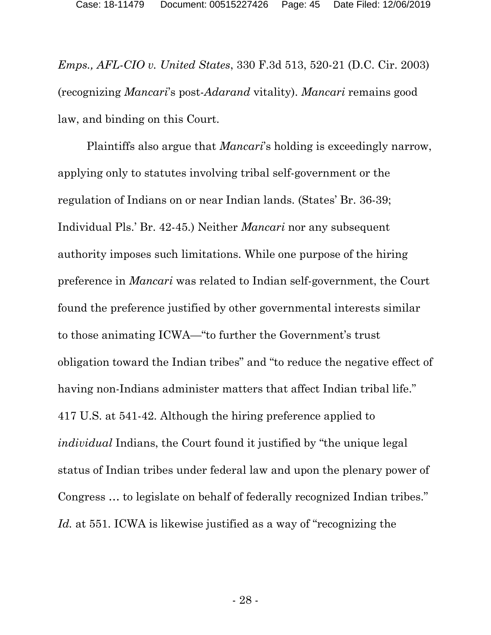*Emps., AFL-CIO v. United States*, 330 F.3d 513, 520-21 (D.C. Cir. 2003) (recognizing *Mancari*'s post-*Adarand* vitality). *Mancari* remains good law, and binding on this Court.

Plaintiffs also argue that *Mancari*'s holding is exceedingly narrow, applying only to statutes involving tribal self-government or the regulation of Indians on or near Indian lands. (States' Br. 36-39; Individual Pls.' Br. 42-45.) Neither *Mancari* nor any subsequent authority imposes such limitations. While one purpose of the hiring preference in *Mancari* was related to Indian self-government, the Court found the preference justified by other governmental interests similar to those animating ICWA—"to further the Government's trust obligation toward the Indian tribes" and "to reduce the negative effect of having non-Indians administer matters that affect Indian tribal life." 417 U.S. at 541-42. Although the hiring preference applied to *individual* Indians, the Court found it justified by "the unique legal status of Indian tribes under federal law and upon the plenary power of Congress … to legislate on behalf of federally recognized Indian tribes." Id. at 551. ICWA is likewise justified as a way of "recognizing the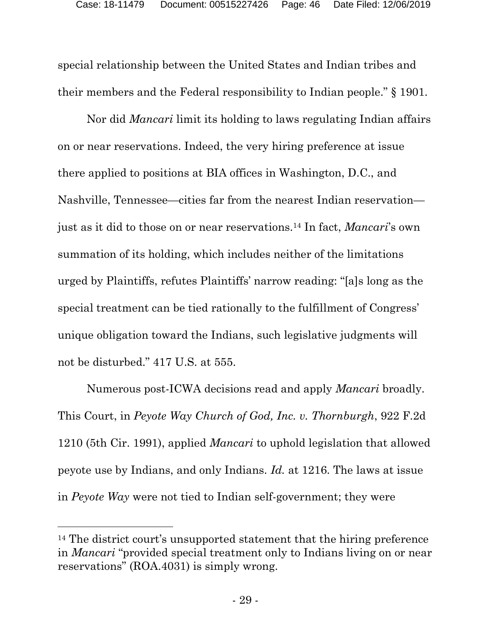special relationship between the United States and Indian tribes and their members and the Federal responsibility to Indian people." § 1901.

Nor did *Mancari* limit its holding to laws regulating Indian affairs on or near reservations. Indeed, the very hiring preference at issue there applied to positions at BIA offices in Washington, D.C., and Nashville, Tennessee—cities far from the nearest Indian reservation just as it did to those on or near reservations.[14](#page-45-0) In fact, *Mancari*'s own summation of its holding, which includes neither of the limitations urged by Plaintiffs, refutes Plaintiffs' narrow reading: "[a]s long as the special treatment can be tied rationally to the fulfillment of Congress' unique obligation toward the Indians, such legislative judgments will not be disturbed." 417 U.S. at 555.

Numerous post-ICWA decisions read and apply *Mancari* broadly. This Court, in *Peyote Way Church of God, Inc. v. Thornburgh*, 922 F.2d 1210 (5th Cir. 1991), applied *Mancari* to uphold legislation that allowed peyote use by Indians, and only Indians. *Id.* at 1216. The laws at issue in *Peyote Way* were not tied to Indian self-government; they were

<span id="page-45-0"></span><sup>14</sup> The district court's unsupported statement that the hiring preference in *Mancari* "provided special treatment only to Indians living on or near reservations" (ROA.4031) is simply wrong.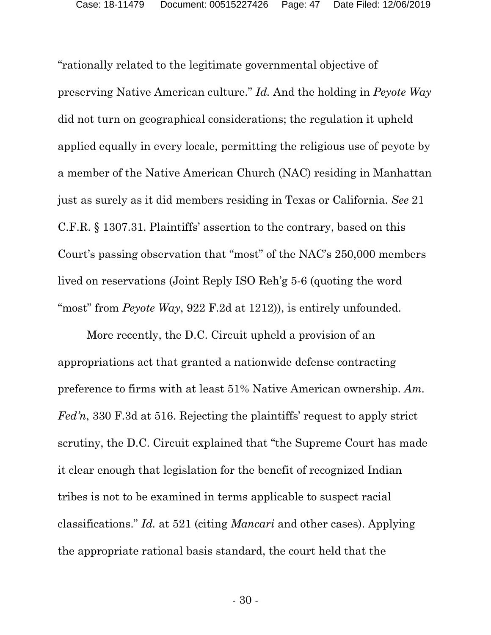"rationally related to the legitimate governmental objective of preserving Native American culture." *Id.* And the holding in *Peyote Way* did not turn on geographical considerations; the regulation it upheld applied equally in every locale, permitting the religious use of peyote by a member of the Native American Church (NAC) residing in Manhattan just as surely as it did members residing in Texas or California. *See* 21 C.F.R. § 1307.31. Plaintiffs' assertion to the contrary, based on this Court's passing observation that "most" of the NAC's 250,000 members lived on reservations (Joint Reply ISO Reh'g 5-6 (quoting the word "most" from *Peyote Way*, 922 F.2d at 1212)), is entirely unfounded.

More recently, the D.C. Circuit upheld a provision of an appropriations act that granted a nationwide defense contracting preference to firms with at least 51% Native American ownership. *Am. Fed'n*, 330 F.3d at 516. Rejecting the plaintiffs' request to apply strict scrutiny, the D.C. Circuit explained that "the Supreme Court has made it clear enough that legislation for the benefit of recognized Indian tribes is not to be examined in terms applicable to suspect racial classifications." *Id.* at 521 (citing *Mancari* and other cases). Applying the appropriate rational basis standard, the court held that the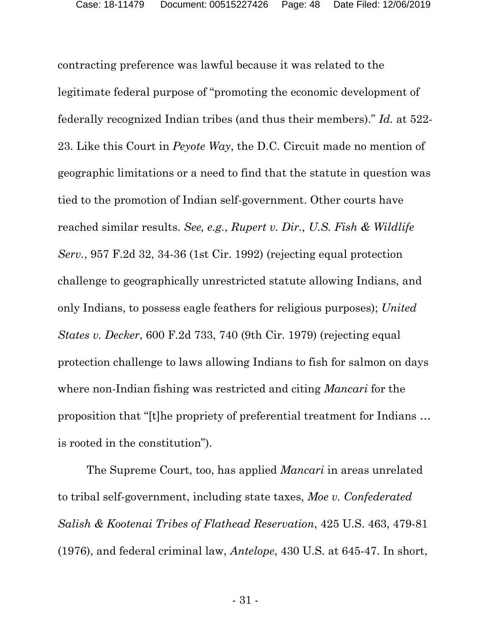contracting preference was lawful because it was related to the legitimate federal purpose of "promoting the economic development of federally recognized Indian tribes (and thus their members)." *Id.* at 522- 23. Like this Court in *Peyote Way*, the D.C. Circuit made no mention of geographic limitations or a need to find that the statute in question was tied to the promotion of Indian self-government. Other courts have reached similar results. *See, e.g.*, *Rupert v. Dir., U.S. Fish & Wildlife Serv.*, 957 F.2d 32, 34-36 (1st Cir. 1992) (rejecting equal protection challenge to geographically unrestricted statute allowing Indians, and only Indians, to possess eagle feathers for religious purposes); *United States v. Decker*, 600 F.2d 733, 740 (9th Cir. 1979) (rejecting equal protection challenge to laws allowing Indians to fish for salmon on days where non-Indian fishing was restricted and citing *Mancari* for the proposition that "[t]he propriety of preferential treatment for Indians … is rooted in the constitution").

The Supreme Court, too, has applied *Mancari* in areas unrelated to tribal self-government, including state taxes, *Moe v. Confederated Salish & Kootenai Tribes of Flathead Reservation*, 425 U.S. 463, 479-81 (1976), and federal criminal law, *Antelope*, 430 U.S. at 645-47. In short,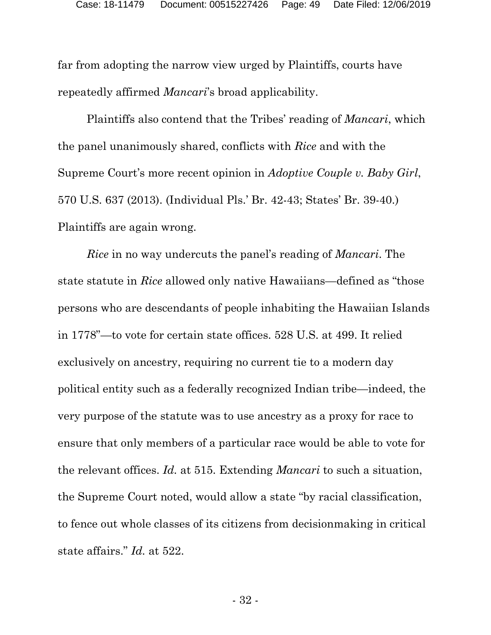far from adopting the narrow view urged by Plaintiffs, courts have repeatedly affirmed *Mancari*'s broad applicability.

Plaintiffs also contend that the Tribes' reading of *Mancari*, which the panel unanimously shared, conflicts with *Rice* and with the Supreme Court's more recent opinion in *Adoptive Couple v. Baby Girl*, 570 U.S. 637 (2013). (Individual Pls.' Br. 42-43; States' Br. 39-40.) Plaintiffs are again wrong.

*Rice* in no way undercuts the panel's reading of *Mancari*. The state statute in *Rice* allowed only native Hawaiians—defined as "those persons who are descendants of people inhabiting the Hawaiian Islands in 1778"—to vote for certain state offices. 528 U.S. at 499. It relied exclusively on ancestry, requiring no current tie to a modern day political entity such as a federally recognized Indian tribe—indeed, the very purpose of the statute was to use ancestry as a proxy for race to ensure that only members of a particular race would be able to vote for the relevant offices. *Id.* at 515. Extending *Mancari* to such a situation, the Supreme Court noted, would allow a state "by racial classification, to fence out whole classes of its citizens from decisionmaking in critical state affairs." *Id.* at 522.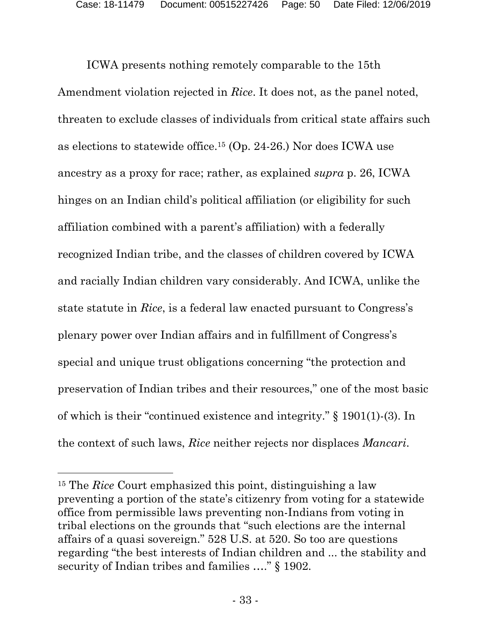ICWA presents nothing remotely comparable to the 15th Amendment violation rejected in *Rice*. It does not, as the panel noted, threaten to exclude classes of individuals from critical state affairs such as elections to statewide office. [15](#page-49-0) (Op. 24-26.) Nor does ICWA use ancestry as a proxy for race; rather, as explained *supra* p. 26, ICWA hinges on an Indian child's political affiliation (or eligibility for such affiliation combined with a parent's affiliation) with a federally recognized Indian tribe, and the classes of children covered by ICWA and racially Indian children vary considerably. And ICWA, unlike the state statute in *Rice*, is a federal law enacted pursuant to Congress's plenary power over Indian affairs and in fulfillment of Congress's special and unique trust obligations concerning "the protection and preservation of Indian tribes and their resources," one of the most basic of which is their "continued existence and integrity." § 1901(1)-(3). In the context of such laws, *Rice* neither rejects nor displaces *Mancari*.

<span id="page-49-0"></span><sup>15</sup> The *Rice* Court emphasized this point, distinguishing a law preventing a portion of the state's citizenry from voting for a statewide office from permissible laws preventing non-Indians from voting in tribal elections on the grounds that "such elections are the internal affairs of a quasi sovereign." 528 U.S. at 520. So too are questions regarding "the best interests of Indian children and ... the stability and security of Indian tribes and families ...." § 1902.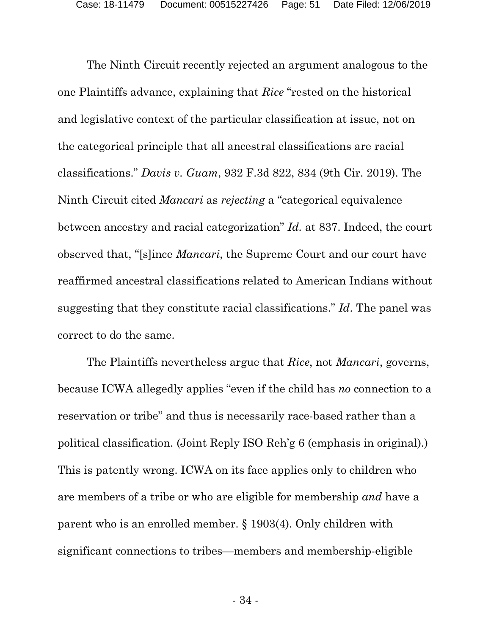The Ninth Circuit recently rejected an argument analogous to the one Plaintiffs advance, explaining that *Rice* "rested on the historical and legislative context of the particular classification at issue, not on the categorical principle that all ancestral classifications are racial classifications." *Davis v. Guam*, 932 F.3d 822, 834 (9th Cir. 2019). The Ninth Circuit cited *Mancari* as *rejecting* a "categorical equivalence between ancestry and racial categorization" *Id.* at 837. Indeed, the court observed that, "[s]ince *Mancari*, the Supreme Court and our court have reaffirmed ancestral classifications related to American Indians without suggesting that they constitute racial classifications." *Id*. The panel was correct to do the same.

The Plaintiffs nevertheless argue that *Rice*, not *Mancari*, governs, because ICWA allegedly applies "even if the child has *no* connection to a reservation or tribe" and thus is necessarily race-based rather than a political classification. (Joint Reply ISO Reh'g 6 (emphasis in original).) This is patently wrong. ICWA on its face applies only to children who are members of a tribe or who are eligible for membership *and* have a parent who is an enrolled member. § 1903(4). Only children with significant connections to tribes—members and membership-eligible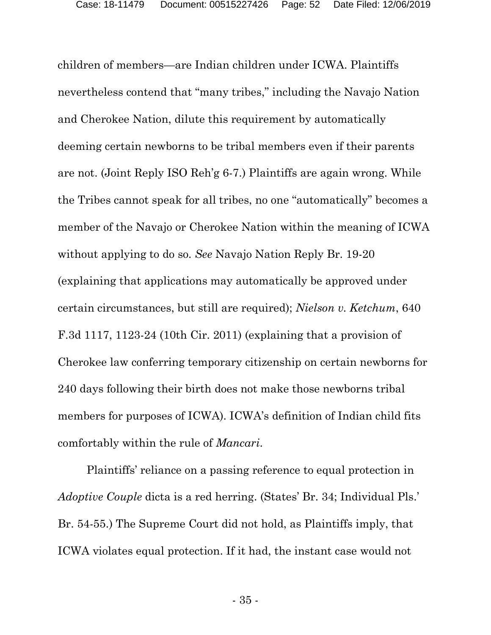children of members—are Indian children under ICWA. Plaintiffs nevertheless contend that "many tribes," including the Navajo Nation and Cherokee Nation, dilute this requirement by automatically deeming certain newborns to be tribal members even if their parents are not. (Joint Reply ISO Reh'g 6-7.) Plaintiffs are again wrong. While the Tribes cannot speak for all tribes, no one "automatically" becomes a member of the Navajo or Cherokee Nation within the meaning of ICWA without applying to do so. *See* Navajo Nation Reply Br. 19-20 (explaining that applications may automatically be approved under certain circumstances, but still are required); *Nielson v. Ketchum*, 640 F.3d 1117, 1123-24 (10th Cir. 2011) (explaining that a provision of Cherokee law conferring temporary citizenship on certain newborns for 240 days following their birth does not make those newborns tribal members for purposes of ICWA). ICWA's definition of Indian child fits comfortably within the rule of *Mancari*.

Plaintiffs' reliance on a passing reference to equal protection in *Adoptive Couple* dicta is a red herring. (States' Br. 34; Individual Pls.' Br. 54-55.) The Supreme Court did not hold, as Plaintiffs imply, that ICWA violates equal protection. If it had, the instant case would not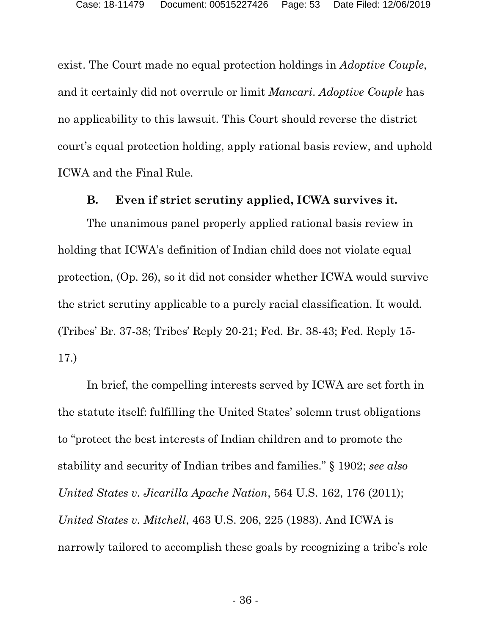exist. The Court made no equal protection holdings in *Adoptive Couple*, and it certainly did not overrule or limit *Mancari*. *Adoptive Couple* has no applicability to this lawsuit. This Court should reverse the district court's equal protection holding, apply rational basis review, and uphold ICWA and the Final Rule.

#### **B. Even if strict scrutiny applied, ICWA survives it.**

The unanimous panel properly applied rational basis review in holding that ICWA's definition of Indian child does not violate equal protection, (Op. 26), so it did not consider whether ICWA would survive the strict scrutiny applicable to a purely racial classification. It would. (Tribes' Br. 37-38; Tribes' Reply 20-21; Fed. Br. 38-43; Fed. Reply 15- 17.)

In brief, the compelling interests served by ICWA are set forth in the statute itself: fulfilling the United States' solemn trust obligations to "protect the best interests of Indian children and to promote the stability and security of Indian tribes and families." § 1902; *see also United States v. Jicarilla Apache Nation*, 564 U.S. 162, 176 (2011); *United States v. Mitchell*, 463 U.S. 206, 225 (1983). And ICWA is narrowly tailored to accomplish these goals by recognizing a tribe's role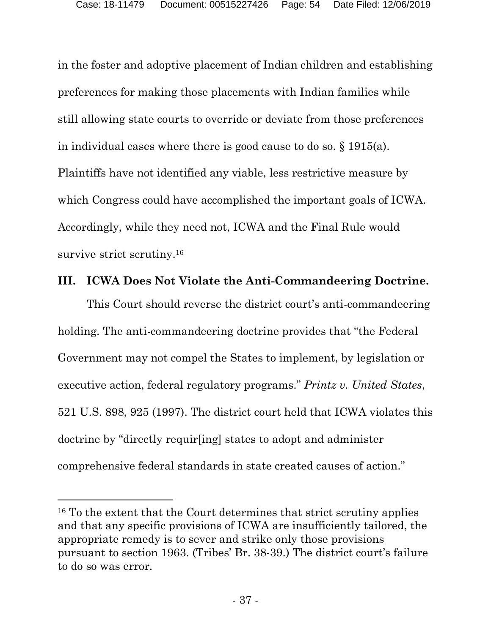in the foster and adoptive placement of Indian children and establishing preferences for making those placements with Indian families while still allowing state courts to override or deviate from those preferences in individual cases where there is good cause to do so. § 1915(a). Plaintiffs have not identified any viable, less restrictive measure by which Congress could have accomplished the important goals of ICWA. Accordingly, while they need not, ICWA and the Final Rule would survive strict scrutiny.<sup>[16](#page-53-0)</sup>

## **III. ICWA Does Not Violate the Anti-Commandeering Doctrine.**

This Court should reverse the district court's anti-commandeering holding. The anti-commandeering doctrine provides that "the Federal" Government may not compel the States to implement, by legislation or executive action, federal regulatory programs." *Printz v. United States*, 521 U.S. 898, 925 (1997). The district court held that ICWA violates this doctrine by "directly requir[ing] states to adopt and administer comprehensive federal standards in state created causes of action."

<span id="page-53-0"></span><sup>16</sup> To the extent that the Court determines that strict scrutiny applies and that any specific provisions of ICWA are insufficiently tailored, the appropriate remedy is to sever and strike only those provisions pursuant to section 1963. (Tribes' Br. 38-39.) The district court's failure to do so was error.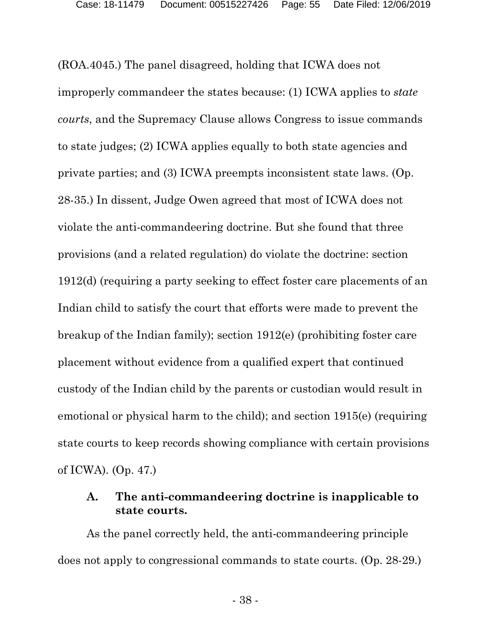(ROA.4045.) The panel disagreed, holding that ICWA does not improperly commandeer the states because: (1) ICWA applies to *state courts*, and the Supremacy Clause allows Congress to issue commands to state judges; (2) ICWA applies equally to both state agencies and private parties; and (3) ICWA preempts inconsistent state laws. (Op. 28-35.) In dissent, Judge Owen agreed that most of ICWA does not violate the anti-commandeering doctrine. But she found that three provisions (and a related regulation) do violate the doctrine: section 1912(d) (requiring a party seeking to effect foster care placements of an Indian child to satisfy the court that efforts were made to prevent the breakup of the Indian family); section 1912(e) (prohibiting foster care placement without evidence from a qualified expert that continued custody of the Indian child by the parents or custodian would result in emotional or physical harm to the child); and section 1915(e) (requiring state courts to keep records showing compliance with certain provisions of ICWA). (Op. 47.)

## **A. The anti-commandeering doctrine is inapplicable to state courts.**

As the panel correctly held, the anti-commandeering principle does not apply to congressional commands to state courts. (Op. 28-29.)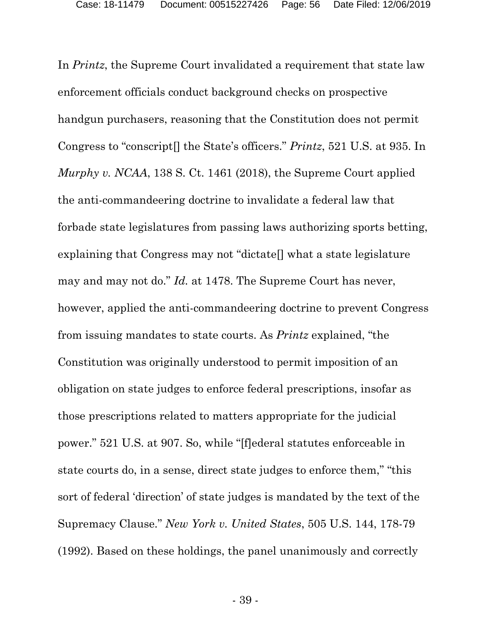In *Printz*, the Supreme Court invalidated a requirement that state law enforcement officials conduct background checks on prospective handgun purchasers, reasoning that the Constitution does not permit Congress to "conscript[] the State's officers." *Printz*, 521 U.S. at 935. In *Murphy v. NCAA*, 138 S. Ct. 1461 (2018), the Supreme Court applied the anti-commandeering doctrine to invalidate a federal law that forbade state legislatures from passing laws authorizing sports betting, explaining that Congress may not "dictate[] what a state legislature may and may not do." *Id.* at 1478. The Supreme Court has never, however, applied the anti-commandeering doctrine to prevent Congress from issuing mandates to state courts. As *Printz* explained, "the Constitution was originally understood to permit imposition of an obligation on state judges to enforce federal prescriptions, insofar as those prescriptions related to matters appropriate for the judicial power." 521 U.S. at 907. So, while "[f]ederal statutes enforceable in state courts do, in a sense, direct state judges to enforce them," "this sort of federal 'direction' of state judges is mandated by the text of the Supremacy Clause." *New York v. United States*, 505 U.S. 144, 178-79 (1992). Based on these holdings, the panel unanimously and correctly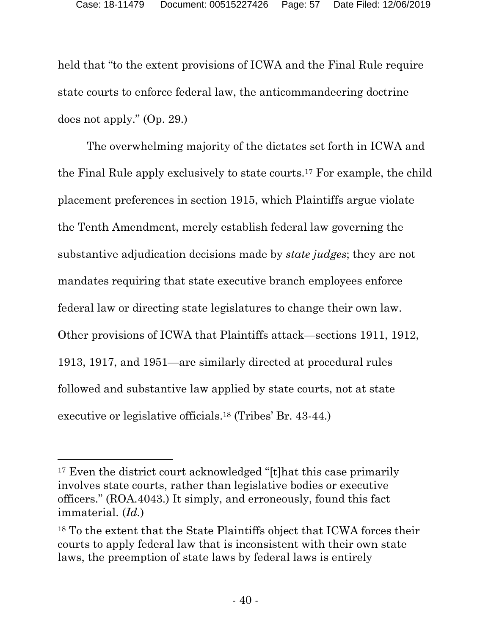held that "to the extent provisions of ICWA and the Final Rule require state courts to enforce federal law, the anticommandeering doctrine does not apply." (Op. 29.)

The overwhelming majority of the dictates set forth in ICWA and the Final Rule apply exclusively to state courts. [17](#page-56-0) For example, the child placement preferences in section 1915, which Plaintiffs argue violate the Tenth Amendment, merely establish federal law governing the substantive adjudication decisions made by *state judges*; they are not mandates requiring that state executive branch employees enforce federal law or directing state legislatures to change their own law. Other provisions of ICWA that Plaintiffs attack—sections 1911, 1912, 1913, 1917, and 1951—are similarly directed at procedural rules followed and substantive law applied by state courts, not at state executive or legislative officials. [18](#page-56-1) (Tribes' Br. 43-44.)

<span id="page-56-0"></span><sup>&</sup>lt;sup>17</sup> Even the district court acknowledged "[t]hat this case primarily involves state courts, rather than legislative bodies or executive officers." (ROA.4043.) It simply, and erroneously, found this fact immaterial. (*Id.*)

<span id="page-56-1"></span><sup>18</sup> To the extent that the State Plaintiffs object that ICWA forces their courts to apply federal law that is inconsistent with their own state laws, the preemption of state laws by federal laws is entirely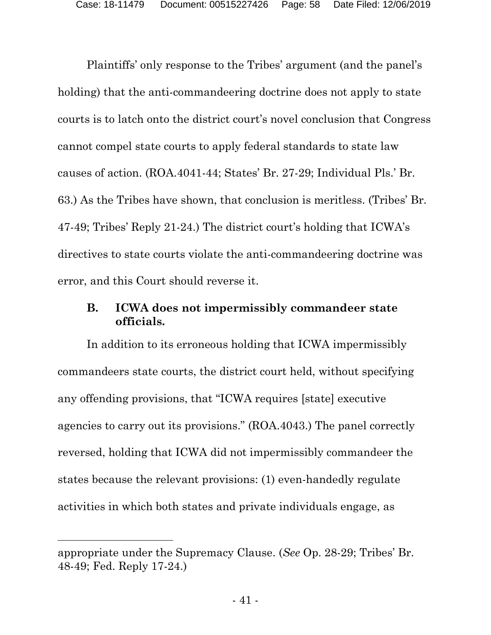Plaintiffs' only response to the Tribes' argument (and the panel's holding) that the anti-commandeering doctrine does not apply to state courts is to latch onto the district court's novel conclusion that Congress cannot compel state courts to apply federal standards to state law causes of action. (ROA.4041-44; States' Br. 27-29; Individual Pls.' Br. 63.) As the Tribes have shown, that conclusion is meritless. (Tribes' Br. 47-49; Tribes' Reply 21-24.) The district court's holding that ICWA's directives to state courts violate the anti-commandeering doctrine was error, and this Court should reverse it.

## **B. ICWA does not impermissibly commandeer state officials.**

In addition to its erroneous holding that ICWA impermissibly commandeers state courts, the district court held, without specifying any offending provisions, that "ICWA requires [state] executive agencies to carry out its provisions." (ROA.4043.) The panel correctly reversed, holding that ICWA did not impermissibly commandeer the states because the relevant provisions: (1) even-handedly regulate activities in which both states and private individuals engage, as

appropriate under the Supremacy Clause. (*See* Op. 28-29; Tribes' Br. 48-49; Fed. Reply 17-24.)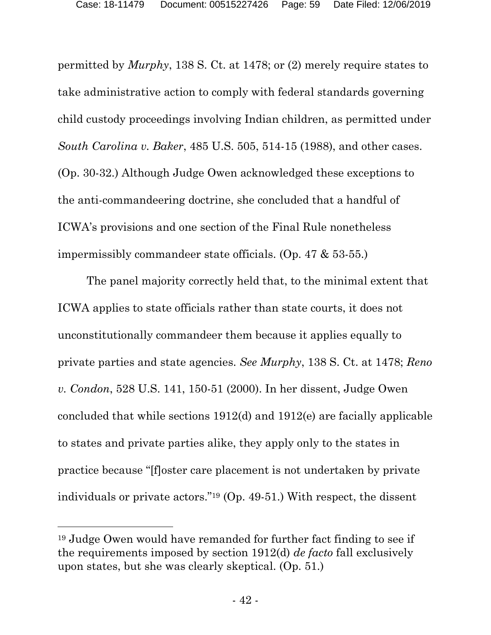permitted by *Murphy*, 138 S. Ct. at 1478; or (2) merely require states to take administrative action to comply with federal standards governing child custody proceedings involving Indian children, as permitted under *South Carolina v. Baker*, 485 U.S. 505, 514-15 (1988), and other cases. (Op. 30-32.) Although Judge Owen acknowledged these exceptions to the anti-commandeering doctrine, she concluded that a handful of ICWA's provisions and one section of the Final Rule nonetheless impermissibly commandeer state officials. (Op. 47 & 53-55.)

The panel majority correctly held that, to the minimal extent that ICWA applies to state officials rather than state courts, it does not unconstitutionally commandeer them because it applies equally to private parties and state agencies. *See Murphy*, 138 S. Ct. at 1478; *Reno v. Condon*, 528 U.S. 141, 150-51 (2000). In her dissent, Judge Owen concluded that while sections 1912(d) and 1912(e) are facially applicable to states and private parties alike, they apply only to the states in practice because "[f]oster care placement is not undertaken by private individuals or private actors."[19](#page-58-0) (Op. 49-51.) With respect, the dissent

<span id="page-58-0"></span><sup>19</sup> Judge Owen would have remanded for further fact finding to see if the requirements imposed by section 1912(d) *de facto* fall exclusively upon states, but she was clearly skeptical. (Op. 51.)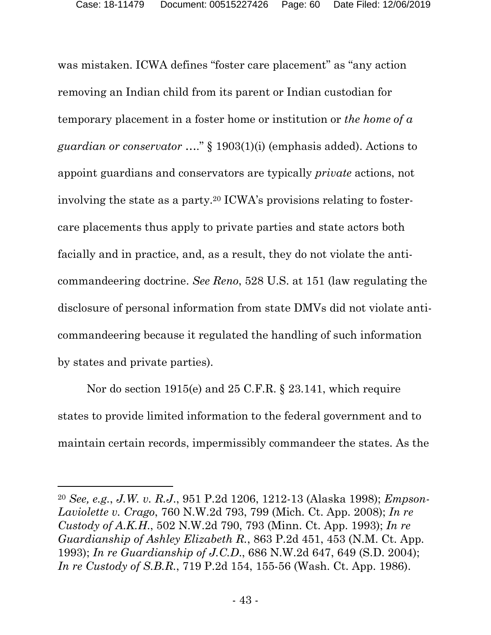was mistaken. ICWA defines "foster care placement" as "any action removing an Indian child from its parent or Indian custodian for temporary placement in a foster home or institution or *the home of a guardian or conservator* …." § 1903(1)(i) (emphasis added). Actions to appoint guardians and conservators are typically *private* actions, not involving the state as a party.[20](#page-59-0) ICWA's provisions relating to fostercare placements thus apply to private parties and state actors both facially and in practice, and, as a result, they do not violate the anticommandeering doctrine. *See Reno*, 528 U.S. at 151 (law regulating the disclosure of personal information from state DMVs did not violate anticommandeering because it regulated the handling of such information by states and private parties).

Nor do section 1915(e) and 25 C.F.R. § 23.141, which require states to provide limited information to the federal government and to maintain certain records, impermissibly commandeer the states. As the

<span id="page-59-0"></span><sup>20</sup> *See, e.g.*, *J.W. v. R.J*., 951 P.2d 1206, 1212-13 (Alaska 1998); *Empson-Laviolette v. Crago*, 760 N.W.2d 793, 799 (Mich. Ct. App. 2008); *In re Custody of A.K.H*., 502 N.W.2d 790, 793 (Minn. Ct. App. 1993); *In re Guardianship of Ashley Elizabeth R.*, 863 P.2d 451, 453 (N.M. Ct. App. 1993); *In re Guardianship of J.C.D*., 686 N.W.2d 647, 649 (S.D. 2004); *In re Custody of S.B.R.*, 719 P.2d 154, 155-56 (Wash. Ct. App. 1986).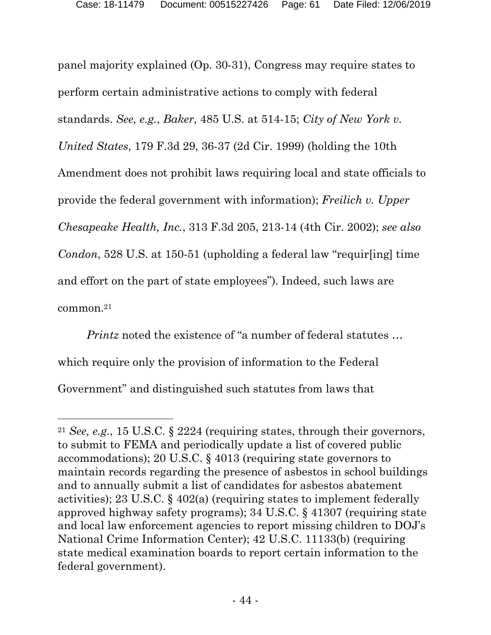panel majority explained (Op. 30-31), Congress may require states to perform certain administrative actions to comply with federal standards. *See, e.g.*, *Baker*, 485 U.S. at 514-15; *City of New York v. United States*, 179 F.3d 29, 36-37 (2d Cir. 1999) (holding the 10th Amendment does not prohibit laws requiring local and state officials to provide the federal government with information); *Freilich v. Upper Chesapeake Health, Inc.*, 313 F.3d 205, 213-14 (4th Cir. 2002); *see also Condon*, 528 U.S. at 150-51 (upholding a federal law "requir[ing] time and effort on the part of state employees"). Indeed, such laws are common.[21](#page-60-0)

*Printz* noted the existence of "a number of federal statutes ... which require only the provision of information to the Federal Government" and distinguished such statutes from laws that

<span id="page-60-0"></span><sup>21</sup> *See, e.g.*, 15 U.S.C. § 2224 (requiring states, through their governors, to submit to FEMA and periodically update a list of covered public accommodations); 20 U.S.C. § 4013 (requiring state governors to maintain records regarding the presence of asbestos in school buildings and to annually submit a list of candidates for asbestos abatement activities); 23 U.S.C. § 402(a) (requiring states to implement federally approved highway safety programs); 34 U.S.C. § 41307 (requiring state and local law enforcement agencies to report missing children to DOJ's National Crime Information Center); 42 U.S.C. 11133(b) (requiring state medical examination boards to report certain information to the federal government).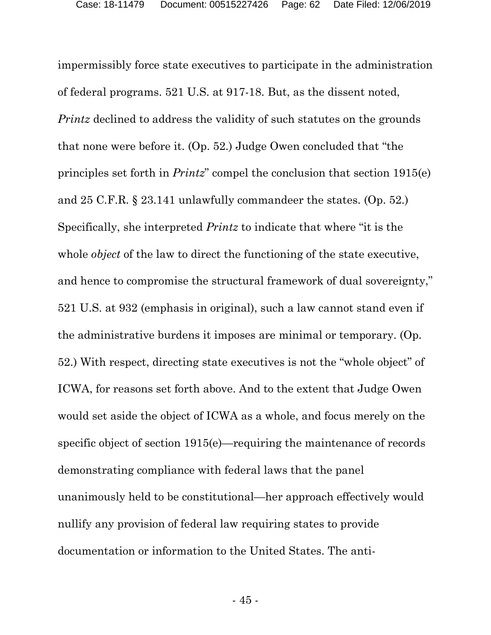impermissibly force state executives to participate in the administration of federal programs. 521 U.S. at 917-18. But, as the dissent noted, *Printz* declined to address the validity of such statutes on the grounds that none were before it. (Op. 52.) Judge Owen concluded that "the principles set forth in *Printz*" compel the conclusion that section 1915(e) and 25 C.F.R. § 23.141 unlawfully commandeer the states. (Op. 52.) Specifically, she interpreted *Printz* to indicate that where "it is the whole *object* of the law to direct the functioning of the state executive, and hence to compromise the structural framework of dual sovereignty," 521 U.S. at 932 (emphasis in original), such a law cannot stand even if the administrative burdens it imposes are minimal or temporary. (Op. 52.) With respect, directing state executives is not the "whole object" of ICWA, for reasons set forth above. And to the extent that Judge Owen would set aside the object of ICWA as a whole, and focus merely on the specific object of section 1915(e)—requiring the maintenance of records demonstrating compliance with federal laws that the panel unanimously held to be constitutional—her approach effectively would nullify any provision of federal law requiring states to provide documentation or information to the United States. The anti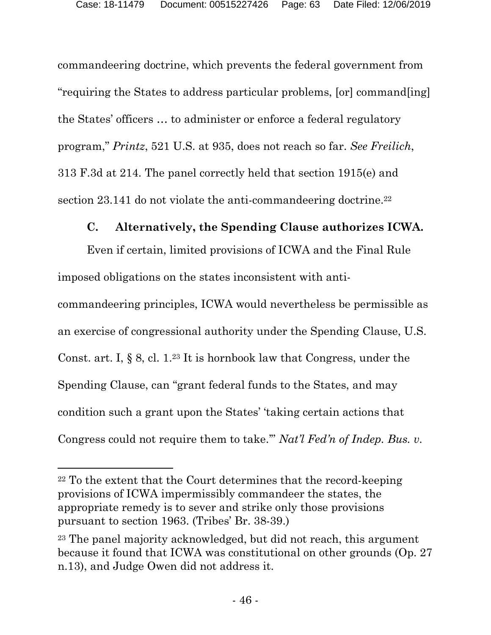commandeering doctrine, which prevents the federal government from "requiring the States to address particular problems, [or] command[ing] the States' officers … to administer or enforce a federal regulatory program," *Printz*, 521 U.S. at 935, does not reach so far. *See Freilich*, 313 F.3d at 214. The panel correctly held that section 1915(e) and section 23.141 do not violate the anti-commandeering doctrine.<sup>[22](#page-62-0)</sup>

# **C. Alternatively, the Spending Clause authorizes ICWA.**

Even if certain, limited provisions of ICWA and the Final Rule imposed obligations on the states inconsistent with anti-

commandeering principles, ICWA would nevertheless be permissible as an exercise of congressional authority under the Spending Clause, U.S. Const. art. I, § 8, cl. 1. [23](#page-62-1) It is hornbook law that Congress, under the Spending Clause, can "grant federal funds to the States, and may condition such a grant upon the States' 'taking certain actions that Congress could not require them to take.'" *Nat'l Fed'n of Indep. Bus. v.* 

<span id="page-62-0"></span><sup>22</sup> To the extent that the Court determines that the record-keeping provisions of ICWA impermissibly commandeer the states, the appropriate remedy is to sever and strike only those provisions pursuant to section 1963. (Tribes' Br. 38-39.)

<span id="page-62-1"></span><sup>23</sup> The panel majority acknowledged, but did not reach, this argument because it found that ICWA was constitutional on other grounds (Op. 27 n.13), and Judge Owen did not address it.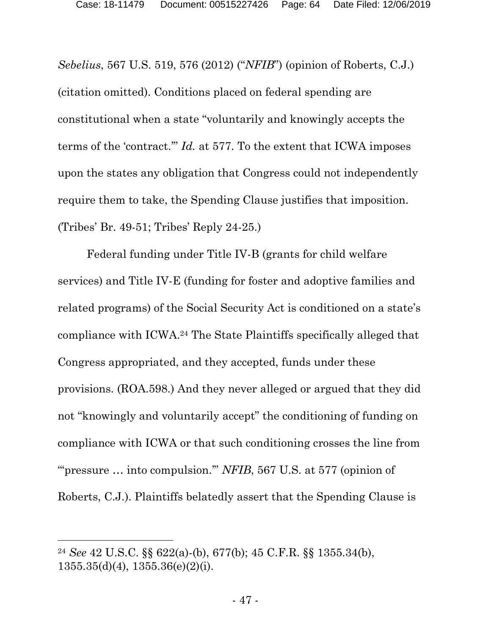*Sebelius*, 567 U.S. 519, 576 (2012) ("*NFIB*") (opinion of Roberts, C.J.) (citation omitted). Conditions placed on federal spending are constitutional when a state "voluntarily and knowingly accepts the terms of the 'contract.'" *Id.* at 577. To the extent that ICWA imposes upon the states any obligation that Congress could not independently require them to take, the Spending Clause justifies that imposition. (Tribes' Br. 49-51; Tribes' Reply 24-25.)

Federal funding under Title IV-B (grants for child welfare services) and Title IV-E (funding for foster and adoptive families and related programs) of the Social Security Act is conditioned on a state's compliance with ICWA. [24](#page-63-0) The State Plaintiffs specifically alleged that Congress appropriated, and they accepted, funds under these provisions. (ROA.598.) And they never alleged or argued that they did not "knowingly and voluntarily accept" the conditioning of funding on compliance with ICWA or that such conditioning crosses the line from ""pressure ... into compulsion."" *NFIB*, 567 U.S. at 577 (opinion of Roberts, C.J.). Plaintiffs belatedly assert that the Spending Clause is

<span id="page-63-0"></span><sup>24</sup> *See* 42 U.S.C. §§ 622(a)-(b), 677(b); 45 C.F.R. §§ 1355.34(b),  $1355.35\text{(d)}(4)$ ,  $1355.36\text{(e)}(2)\text{(i)}$ .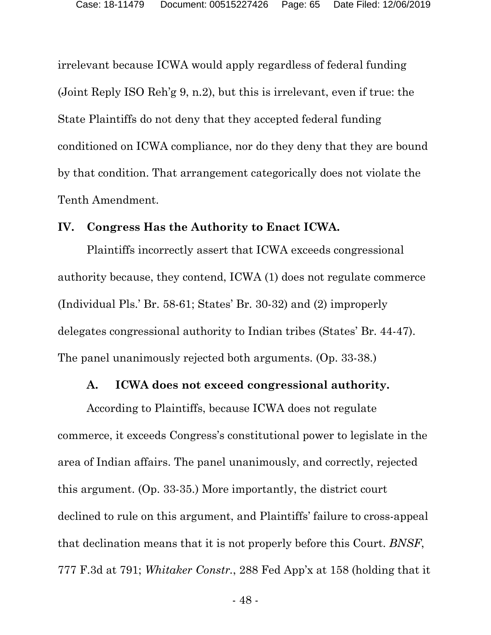irrelevant because ICWA would apply regardless of federal funding (Joint Reply ISO Reh'g 9, n.2), but this is irrelevant, even if true: the State Plaintiffs do not deny that they accepted federal funding conditioned on ICWA compliance, nor do they deny that they are bound by that condition. That arrangement categorically does not violate the Tenth Amendment.

#### **IV. Congress Has the Authority to Enact ICWA.**

Plaintiffs incorrectly assert that ICWA exceeds congressional authority because, they contend, ICWA (1) does not regulate commerce (Individual Pls.' Br. 58-61; States' Br. 30-32) and (2) improperly delegates congressional authority to Indian tribes (States' Br. 44-47). The panel unanimously rejected both arguments. (Op. 33-38.)

#### **A. ICWA does not exceed congressional authority.**

According to Plaintiffs, because ICWA does not regulate commerce, it exceeds Congress's constitutional power to legislate in the area of Indian affairs. The panel unanimously, and correctly, rejected this argument. (Op. 33-35.) More importantly, the district court declined to rule on this argument, and Plaintiffs' failure to cross-appeal that declination means that it is not properly before this Court. *BNSF*, 777 F.3d at 791; *Whitaker Constr.*, 288 Fed App'x at 158 (holding that it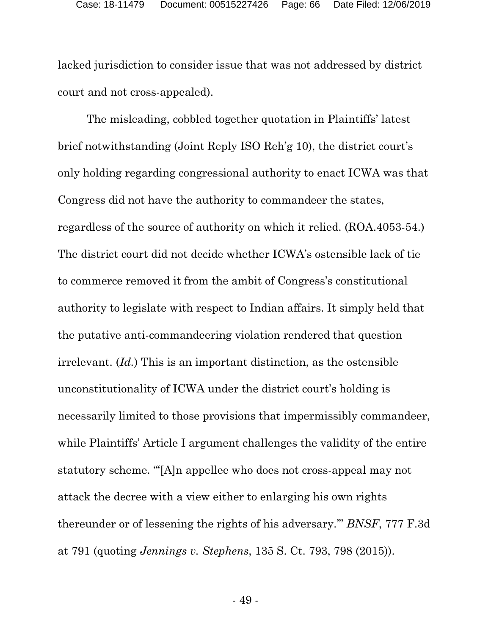lacked jurisdiction to consider issue that was not addressed by district court and not cross-appealed).

The misleading, cobbled together quotation in Plaintiffs' latest brief notwithstanding (Joint Reply ISO Reh'g 10), the district court's only holding regarding congressional authority to enact ICWA was that Congress did not have the authority to commandeer the states, regardless of the source of authority on which it relied. (ROA.4053-54.) The district court did not decide whether ICWA's ostensible lack of tie to commerce removed it from the ambit of Congress's constitutional authority to legislate with respect to Indian affairs. It simply held that the putative anti-commandeering violation rendered that question irrelevant. (*Id.*) This is an important distinction, as the ostensible unconstitutionality of ICWA under the district court's holding is necessarily limited to those provisions that impermissibly commandeer, while Plaintiffs' Article I argument challenges the validity of the entire statutory scheme. "'[A]n appellee who does not cross-appeal may not attack the decree with a view either to enlarging his own rights thereunder or of lessening the rights of his adversary.'" *BNSF*, 777 F.3d at 791 (quoting *Jennings v. Stephens*, 135 S. Ct. 793, 798 (2015)).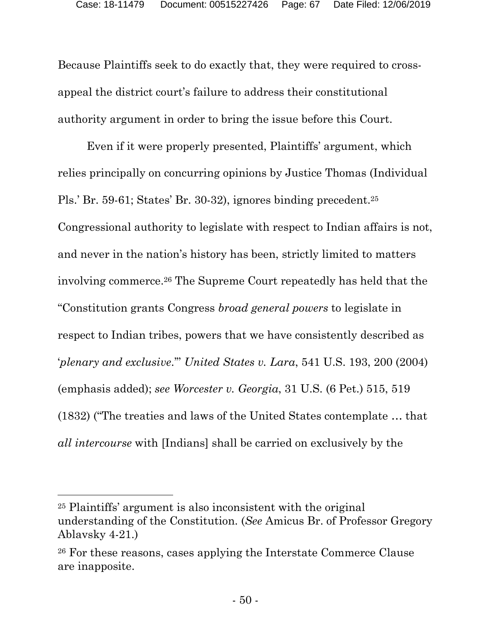Because Plaintiffs seek to do exactly that, they were required to crossappeal the district court's failure to address their constitutional authority argument in order to bring the issue before this Court.

Even if it were properly presented, Plaintiffs' argument, which relies principally on concurring opinions by Justice Thomas (Individual Pls.' Br. 59-61; States' Br. 30-32), ignores binding precedent.[25](#page-66-0) Congressional authority to legislate with respect to Indian affairs is not, and never in the nation's history has been, strictly limited to matters involving commerce.[26](#page-66-1) The Supreme Court repeatedly has held that the "Constitution grants Congress *broad general powers* to legislate in respect to Indian tribes, powers that we have consistently described as '*plenary and exclusive*.'" *United States v. Lara*, 541 U.S. 193, 200 (2004) (emphasis added); *see Worcester v. Georgia*, 31 U.S. (6 Pet.) 515, 519 (1832) ("The treaties and laws of the United States contemplate … that *all intercourse* with [Indians] shall be carried on exclusively by the

<span id="page-66-0"></span><sup>25</sup> Plaintiffs' argument is also inconsistent with the original understanding of the Constitution. (*See* Amicus Br. of Professor Gregory Ablavsky 4-21.)

<span id="page-66-1"></span><sup>26</sup> For these reasons, cases applying the Interstate Commerce Clause are inapposite.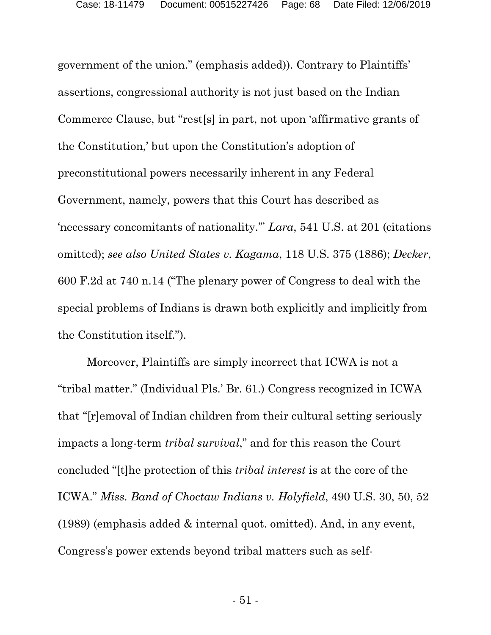government of the union." (emphasis added)). Contrary to Plaintiffs' assertions, congressional authority is not just based on the Indian Commerce Clause, but "rest[s] in part, not upon 'affirmative grants of the Constitution,' but upon the Constitution's adoption of preconstitutional powers necessarily inherent in any Federal Government, namely, powers that this Court has described as 'necessary concomitants of nationality.'" *Lara*, 541 U.S. at 201 (citations omitted); *see also United States v. Kagama*, 118 U.S. 375 (1886); *Decker*, 600 F.2d at 740 n.14 ("The plenary power of Congress to deal with the special problems of Indians is drawn both explicitly and implicitly from the Constitution itself.").

Moreover, Plaintiffs are simply incorrect that ICWA is not a "tribal matter." (Individual Pls.' Br. 61.) Congress recognized in ICWA that "[r]emoval of Indian children from their cultural setting seriously impacts a long-term *tribal survival*," and for this reason the Court concluded "[t]he protection of this *tribal interest* is at the core of the ICWA." *Miss. Band of Choctaw Indians v. Holyfield*, 490 U.S. 30, 50, 52 (1989) (emphasis added & internal quot. omitted). And, in any event, Congress's power extends beyond tribal matters such as self-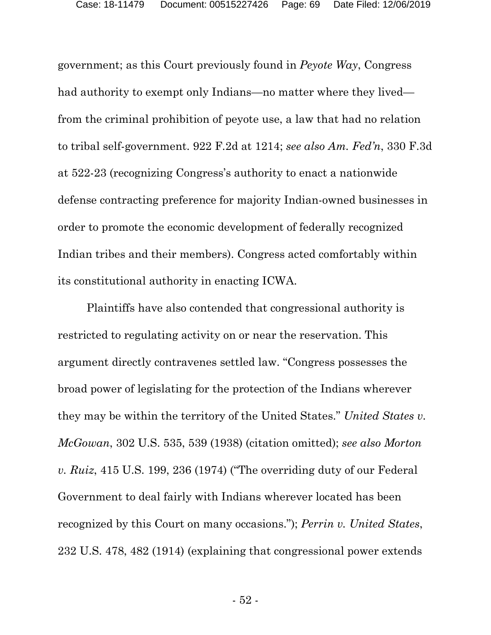government; as this Court previously found in *Peyote Way*, Congress had authority to exempt only Indians—no matter where they lived from the criminal prohibition of peyote use, a law that had no relation to tribal self-government. 922 F.2d at 1214; *see also Am. Fed'n*, 330 F.3d at 522-23 (recognizing Congress's authority to enact a nationwide defense contracting preference for majority Indian-owned businesses in order to promote the economic development of federally recognized Indian tribes and their members). Congress acted comfortably within its constitutional authority in enacting ICWA.

Plaintiffs have also contended that congressional authority is restricted to regulating activity on or near the reservation. This argument directly contravenes settled law. "Congress possesses the broad power of legislating for the protection of the Indians wherever they may be within the territory of the United States." *United States v. McGowan*, 302 U.S. 535, 539 (1938) (citation omitted); *see also Morton v. Ruiz*, 415 U.S. 199, 236 (1974) ("The overriding duty of our Federal Government to deal fairly with Indians wherever located has been recognized by this Court on many occasions."); *Perrin v. United States*, 232 U.S. 478, 482 (1914) (explaining that congressional power extends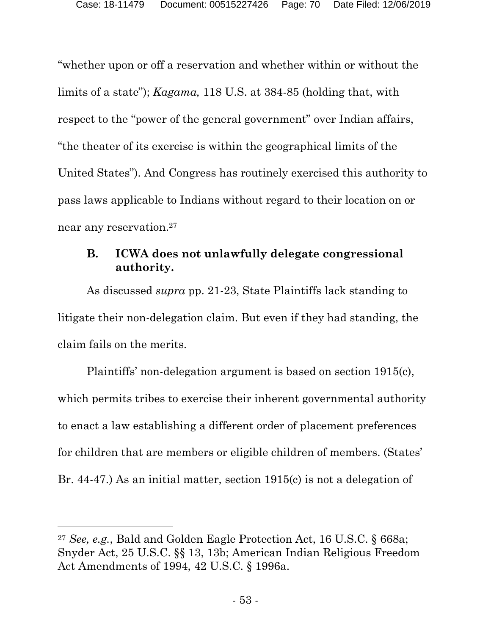"whether upon or off a reservation and whether within or without the limits of a state"); *Kagama,* 118 U.S. at 384-85 (holding that, with respect to the "power of the general government" over Indian affairs, "the theater of its exercise is within the geographical limits of the United States"). And Congress has routinely exercised this authority to pass laws applicable to Indians without regard to their location on or near any reservation.[27](#page-69-0)

#### **B. ICWA does not unlawfully delegate congressional authority.**

As discussed *supra* pp. 21-23, State Plaintiffs lack standing to litigate their non-delegation claim. But even if they had standing, the claim fails on the merits.

Plaintiffs' non-delegation argument is based on section 1915(c), which permits tribes to exercise their inherent governmental authority to enact a law establishing a different order of placement preferences for children that are members or eligible children of members. (States' Br. 44-47.) As an initial matter, section 1915(c) is not a delegation of

<span id="page-69-0"></span><sup>27</sup> *See, e.g.*, Bald and Golden Eagle Protection Act, 16 U.S.C. § 668a; Snyder Act, 25 U.S.C. §§ 13, 13b; American Indian Religious Freedom Act Amendments of 1994, 42 U.S.C. § 1996a.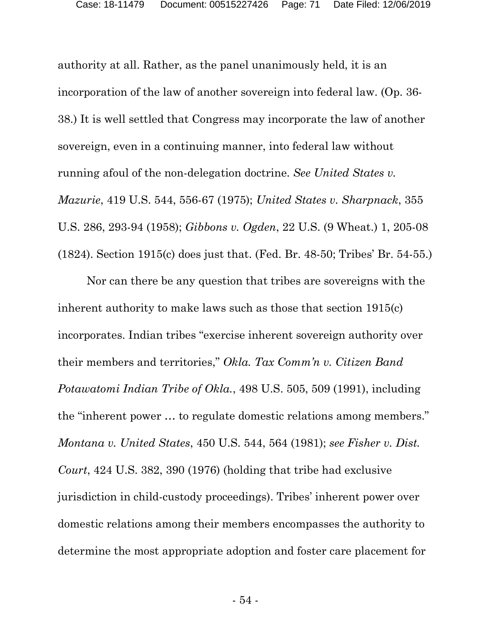authority at all. Rather, as the panel unanimously held, it is an incorporation of the law of another sovereign into federal law. (Op. 36- 38.) It is well settled that Congress may incorporate the law of another sovereign, even in a continuing manner, into federal law without running afoul of the non-delegation doctrine. *See United States v. Mazurie*, 419 U.S. 544, 556-67 (1975); *United States v. Sharpnack*, 355 U.S. 286, 293-94 (1958); *Gibbons v. Ogden*, 22 U.S. (9 Wheat.) 1, 205-08 (1824). Section 1915(c) does just that. (Fed. Br. 48-50; Tribes' Br. 54-55.)

Nor can there be any question that tribes are sovereigns with the inherent authority to make laws such as those that section 1915(c) incorporates. Indian tribes "exercise inherent sovereign authority over their members and territories," *Okla. Tax Comm'n v. Citizen Band Potawatomi Indian Tribe of Okla.*, 498 U.S. 505, 509 (1991), including the "inherent power … to regulate domestic relations among members." *Montana v. United States*, 450 U.S. 544, 564 (1981); *see Fisher v. Dist. Court*, 424 U.S. 382, 390 (1976) (holding that tribe had exclusive jurisdiction in child-custody proceedings). Tribes' inherent power over domestic relations among their members encompasses the authority to determine the most appropriate adoption and foster care placement for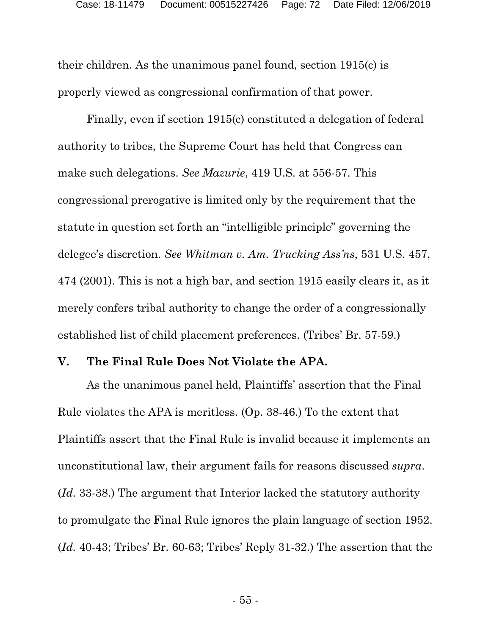their children. As the unanimous panel found, section 1915(c) is properly viewed as congressional confirmation of that power.

Finally, even if section 1915(c) constituted a delegation of federal authority to tribes, the Supreme Court has held that Congress can make such delegations. *See Mazurie*, 419 U.S. at 556-57. This congressional prerogative is limited only by the requirement that the statute in question set forth an "intelligible principle" governing the delegee's discretion. *See Whitman v. Am. Trucking Ass'ns*, 531 U.S. 457, 474 (2001). This is not a high bar, and section 1915 easily clears it, as it merely confers tribal authority to change the order of a congressionally established list of child placement preferences. (Tribes' Br. 57-59.)

#### **V. The Final Rule Does Not Violate the APA.**

As the unanimous panel held, Plaintiffs' assertion that the Final Rule violates the APA is meritless. (Op. 38-46.) To the extent that Plaintiffs assert that the Final Rule is invalid because it implements an unconstitutional law, their argument fails for reasons discussed *supra*. (*Id.* 33-38.) The argument that Interior lacked the statutory authority to promulgate the Final Rule ignores the plain language of section 1952. (*Id.* 40-43; Tribes' Br. 60-63; Tribes' Reply 31-32.) The assertion that the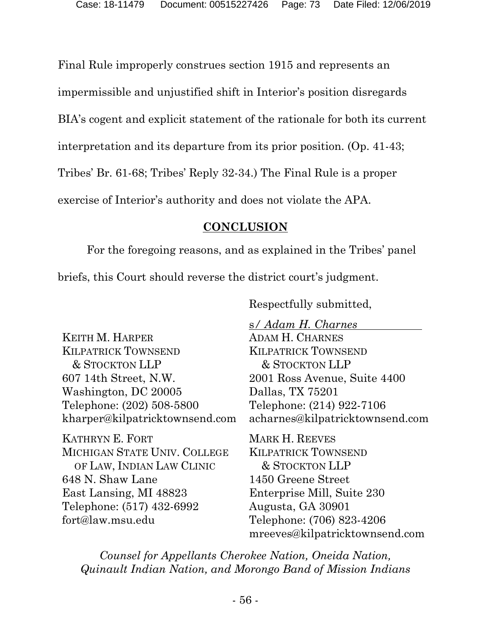Final Rule improperly construes section 1915 and represents an

impermissible and unjustified shift in Interior's position disregards

BIA's cogent and explicit statement of the rationale for both its current

interpretation and its departure from its prior position. (Op. 41-43;

Tribes' Br. 61-68; Tribes' Reply 32-34.) The Final Rule is a proper

exercise of Interior's authority and does not violate the APA.

## **CONCLUSION**

For the foregoing reasons, and as explained in the Tribes' panel

briefs, this Court should reverse the district court's judgment.

Respectfully submitted,

KEITH M. HARPER KILPATRICK TOWNSEND & STOCKTON LLP 607 14th Street, N.W. Washington, DC 20005 Telephone: (202) 508-5800 kharper@kilpatricktownsend.com

KATHRYN E. FORT MICHIGAN STATE UNIV. COLLEGE OF LAW, INDIAN LAW CLINIC 648 N. Shaw Lane East Lansing, MI 48823 Telephone: (517) 432-6992 fort@law.msu.edu

s*/ Adam H. Charnes* ADAM H. CHARNES KILPATRICK TOWNSEND & STOCKTON LLP 2001 Ross Avenue, Suite 4400 Dallas, TX 75201 Telephone: (214) 922-7106 acharnes@kilpatricktownsend.com

MARK H. REEVES KILPATRICK TOWNSEND & STOCKTON LLP 1450 Greene Street Enterprise Mill, Suite 230 Augusta, GA 30901 Telephone: (706) 823-4206 mreeves@kilpatricktownsend.com

*Counsel for Appellants Cherokee Nation, Oneida Nation, Quinault Indian Nation, and Morongo Band of Mission Indians*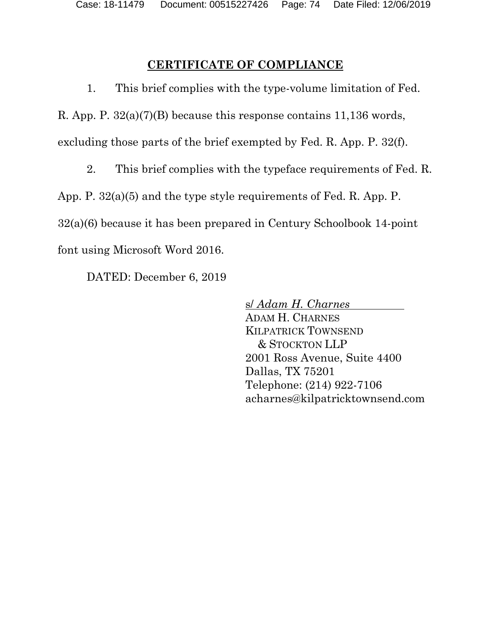## **CERTIFICATE OF COMPLIANCE**

1. This brief complies with the type-volume limitation of Fed.

R. App. P. 32(a)(7)(B) because this response contains 11,136 words,

excluding those parts of the brief exempted by Fed. R. App. P. 32(f).

2. This brief complies with the typeface requirements of Fed. R.

App. P. 32(a)(5) and the type style requirements of Fed. R. App. P.

32(a)(6) because it has been prepared in Century Schoolbook 14-point

font using Microsoft Word 2016.

DATED: December 6, 2019

s/ *Adam H. Charnes*

ADAM H. CHARNES KILPATRICK TOWNSEND & STOCKTON LLP 2001 Ross Avenue, Suite 4400 Dallas, TX 75201 Telephone: (214) 922-7106 acharnes@kilpatricktownsend.com